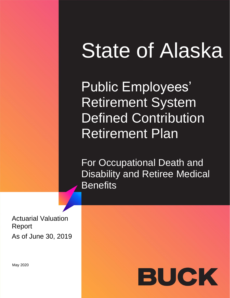# State of Alaska

Public Employees' Retirement System Defined Contribution Retirement Plan

For Occupational Death and Disability and Retiree Medical **Benefits** 

Actuarial Valuation Report As of June 30, 2019



May 2020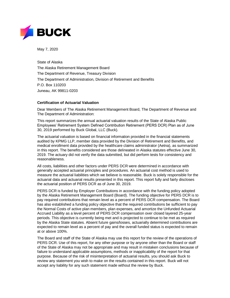

May 7, 2020

State of Alaska The Alaska Retirement Management Board The Department of Revenue, Treasury Division The Department of Administration, Division of Retirement and Benefits P.O. Box 110203 Juneau, AK 99811-0203

#### **Certification of Actuarial Valuation**

Dear Members of The Alaska Retirement Management Board, The Department of Revenue and The Department of Administration:

This report summarizes the annual actuarial valuation results of the State of Alaska Public Employees' Retirement System Defined Contribution Retirement (PERS DCR) Plan as of June 30, 2019 performed by Buck Global, LLC (Buck).

The actuarial valuation is based on financial information provided in the financial statements audited by KPMG LLP, member data provided by the Division of Retirement and Benefits, and medical enrollment data provided by the healthcare claims administrator (Aetna), as summarized in this report. The benefits considered are those delineated in Alaska statutes effective June 30, 2019. The actuary did not verify the data submitted, but did perform tests for consistency and reasonableness.

All costs, liabilities and other factors under PERS DCR were determined in accordance with generally accepted actuarial principles and procedures. An actuarial cost method is used to measure the actuarial liabilities which we believe is reasonable. Buck is solely responsible for the actuarial data and actuarial results presented in this report. This report fully and fairly discloses the actuarial position of PERS DCR as of June 30, 2019.

PERS DCR is funded by Employer Contributions in accordance with the funding policy adopted by the Alaska Retirement Management Board (Board). The funding objective for PERS DCR is to pay required contributions that remain level as a percent of PERS DCR compensation. The Board has also established a funding policy objective that the required contributions be sufficient to pay the Normal Costs of active plan members, plan expenses, and amortize the Unfunded Actuarial Accrued Liability as a level percent of PERS DCR compensation over closed layered 25-year periods. This objective is currently being met and is projected to continue to be met as required by the Alaska State statutes. Absent future gains/losses, actuarially determined contributions are expected to remain level as a percent of pay and the overall funded status is expected to remain at or above 100%.

The Board and staff of the State of Alaska may use this report for the review of the operations of PERS DCR. Use of this report, for any other purpose or by anyone other than the Board or staff of the State of Alaska may not be appropriate and may result in mistaken conclusions because of failure to understand applicable assumptions, methods or inapplicability of the report for that purpose. Because of the risk of misinterpretation of actuarial results, you should ask Buck to review any statement you wish to make on the results contained in this report. Buck will not accept any liability for any such statement made without the review by Buck.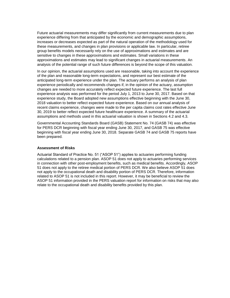Future actuarial measurements may differ significantly from current measurements due to plan experience differing from that anticipated by the economic and demographic assumptions, increases or decreases expected as part of the natural operation of the methodology used for these measurements, and changes in plan provisions or applicable law. In particular, retiree group benefits models necessarily rely on the use of approximations and estimates and are sensitive to changes in these approximations and estimates. Small variations in these approximations and estimates may lead to significant changes in actuarial measurements. An analysis of the potential range of such future differences is beyond the scope of this valuation.

In our opinion, the actuarial assumptions used are reasonable, taking into account the experience of the plan and reasonable long-term expectations, and represent our best estimate of the anticipated long-term experience under the plan. The actuary performs an analysis of plan experience periodically and recommends changes if, in the opinion of the actuary, assumption changes are needed to more accurately reflect expected future experience. The last full experience analysis was performed for the period July 1, 2013 to June 30, 2017. Based on that experience study, the Board adopted new assumptions effective beginning with the June 30, 2018 valuation to better reflect expected future experience. Based on our annual analysis of recent claims experience, changes were made to the per capita claims cost rates effective June 30, 2019 to better reflect expected future healthcare experience. A summary of the actuarial assumptions and methods used in this actuarial valuation is shown in Sections 4.2 and 4.3.

Governmental Accounting Standards Board (GASB) Statement No. 74 (GASB 74) was effective for PERS DCR beginning with fiscal year ending June 30, 2017, and GASB 75 was effective beginning with fiscal year ending June 30, 2018. Separate GASB 74 and GASB 75 reports have been prepared.

#### **Assessment of Risks**

Actuarial Standard of Practice No. 51 ("ASOP 51") applies to actuaries performing funding calculations related to a pension plan. ASOP 51 does not apply to actuaries performing services in connection with other post-employment benefits, such as medical benefits. Accordingly, ASOP 51 does not apply to the retiree medical portion of PERS DCR. We also believe ASOP 51 does not apply to the occupational death and disability portion of PERS DCR. Therefore, information related to ASOP 51 is not included in this report. However, it may be beneficial to review the ASOP 51 information provided in the PERS valuation report for information on risks that may also relate to the occupational death and disability benefits provided by this plan.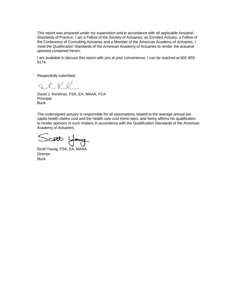This report was prepared under my supervision and in accordance with all applicable Actuarial Standards of Practice. I am a Fellow of the Society of Actuaries, an Enrolled Actuary, a Fellow of the Conference of Consulting Actuaries and a Member of the American Academy of Actuaries. I meet the Qualification Standards of the American Academy of Actuaries to render the actuarial opinions contained herein.

I am available to discuss this report with you at your convenience. I can be reached at 602-803- 6174.

Respectfully submitted,

QlKl

David J. Kershner, FSA, EA, MAAA, FCA Principal **Buck** 

The undersigned actuary is responsible for all assumptions related to the average annual per capita health claims cost and the health care cost trend rates, and herby affirms his qualification to render opinions in such matters in accordance with the Qualification Standards of the American Academy of Actuaries.

Scott Young, FSA, EA, MAAA

**Director Buck**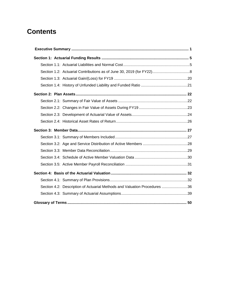# **Contents**

|  | Section 4.2: Description of Actuarial Methods and Valuation Procedures 36 |  |
|--|---------------------------------------------------------------------------|--|
|  |                                                                           |  |
|  |                                                                           |  |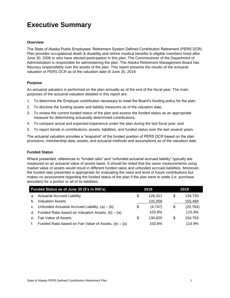# **Executive Summary**

#### **Overview**

The State of Alaska Public Employees' Retirement System Defined Contribution Retirement (PERS DCR) Plan provides occupational death & disability and retiree medical benefits to eligible members hired after June 30, 2006 or who have elected participation in this plan. The Commissioner of the Department of Administration is responsible for administering the plan. The Alaska Retirement Management Board has fiduciary responsibility over the assets of the plan. This report presents the results of the actuarial valuation of PERS DCR as of the valuation date of June 30, 2019.

#### **Purpose**

An actuarial valuation is performed on the plan annually as of the end of the fiscal year. The main purposes of the actuarial valuation detailed in this report are:

- 1. To determine the Employer contribution necessary to meet the Board's funding policy for the plan;
- 2. To disclose the funding assets and liability measures as of the valuation date;
- 3. To review the current funded status of the plan and assess the funded status as an appropriate measure for determining actuarially determined contributions;
- 4. To compare actual and expected experience under the plan during the last fiscal year; and
- 5. To report trends in contributions, assets, liabilities, and funded status over the last several years.

The actuarial valuation provides a "snapshot" of the funded position of PERS DCR based on the plan provisions, membership data, assets, and actuarial methods and assumptions as of the valuation date.

#### **Funded Status**

Where presented, references to "funded ratio" and "unfunded actuarial accrued liability" typically are measured on an actuarial value of assets basis. It should be noted that the same measurements using market value of assets would result in different funded ratios and unfunded accrued liabilities. Moreover, the funded ratio presented is appropriate for evaluating the need and level of future contributions but makes no assessment regarding the funded status of the plan if the plan were to settle (i.e. purchase annuities) for a portion or all of its liabilities.

| Funded Status as of June 30 (\$'s in 000's) |                                                            |    | 2018    | 2019 |           |  |
|---------------------------------------------|------------------------------------------------------------|----|---------|------|-----------|--|
|                                             | a. Actuarial Accrued Liability                             | \$ | 126.311 | S    | 134,720   |  |
| b.                                          | <b>Valuation Assets</b>                                    |    | 131,058 |      | 155,484   |  |
|                                             | c. Unfunded Actuarial Accrued Liability, $(a) - (b)$       | \$ | (4,747) | \$   | (20, 764) |  |
|                                             | d. Funded Ratio based on Valuation Assets, $(b) \div (a)$  |    | 103.8%  |      | 115.4%    |  |
| $e_{1}$                                     | <b>Fair Value of Assets</b>                                | S  | 130.820 | S    | 154,763   |  |
| f.                                          | Funded Ratio based on Fair Value of Assets, (e) $\div$ (a) |    | 103.6%  |      | 114.9%    |  |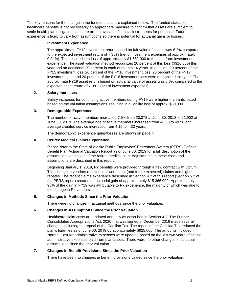The key reasons for the change in the funded status are explained below. The funded status for healthcare benefits is not necessarily an appropriate measure to confirm that assets are sufficient to settle health plan obligations as there are no available financial instruments for purchase. Future experience is likely to vary from assumptions so there is potential for actuarial gains or losses.

#### **1. Investment Experience**

The approximate FY19 investment return based on fair value of assets was 6.2% compared to the expected investment return of 7.38% (net of investment expenses of approximately 0.04%). This resulted in a loss of approximately \$1,582,000 to the plan from investment experience. The asset valuation method recognizes 20 percent of this loss (\$316,000) this year and an additional 20 percent in each of the next 4 years. In addition, 20 percent of the FY15 investment loss, 20 percent of the FY16 investment loss, 20 percent of the FY17 investment gain and 20 percent of the FY18 investment loss were recognized this year. The approximate FY19 asset return based on actuarial value of assets was 6.6% compared to the expected asset return of 7.38% (net of investment expenses).

#### **2. Salary Increases**

Salary increases for continuing active members during FY19 were higher than anticipated based on the valuation assumptions, resulting in a liability loss of approx. \$80,000.

#### **3. Demographic Experience**

The number of active members increased 7.5% from 20,378 at June 30, 2018 to 21,902 at June 30, 2019. The average age of active members increased from 40.80 to 40.96 and average credited service increased from 4.15 to 4.33 years.

The demographic experience gains/losses are shown on page 4.

#### **4. Retiree Medical Claims Experience**

Please refer to the State of Alaska Public Employees' Retirement System (PERS) Defined Benefit Plan Actuarial Valuation Report as of June 30, 2019 for a full description of the assumptions and costs of the retiree medical plan. Adjustments to these costs and assumptions are described in this report.

Beginning January 1, 2019, Rx benefits were provided through a new contract with Optum. This change in vendors resulted in lower actual (and future expected) claims and higher rebates. The recent claims experience described in Section 4.2 of this report (Section 5.2 of the PERS report) created an actuarial gain of approximately \$15,366,000. Approximately 95% of the gain in FY19 was attributable to Rx experience, the majority of which was due to the change in Rx vendors.

#### **5. Changes in Methods Since the Prior Valuation**

There were no changes in actuarial methods since the prior valuation.

#### **6. Changes in Assumptions Since the Prior Valuation**

Healthcare claim costs are updated annually as described in Section 4.2. The Further Consolidated Appropriations Act, 2020 that was signed in December 2019 made several changes, including the repeal of the Cadillac Tax. The repeal of the Cadillac Tax reduced the plan's liabilities as of June 30, 2019 by approximately \$925,000. The amounts included in Normal Cost for administrative expenses were updated based on the last two years of actual administrative expenses paid from plan assets. There were no other changes in actuarial assumptions since the prior valuation.

#### **7. Changes in Benefit Provisions Since the Prior Valuation**

There have been no changes in benefit provisions valued since the prior valuation.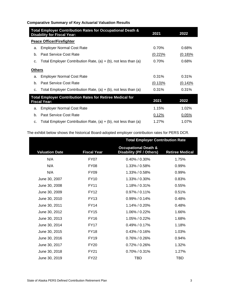| <b>Comparative Summary of Key Actuarial Valuation Results</b> |  |  |  |  |
|---------------------------------------------------------------|--|--|--|--|
|---------------------------------------------------------------|--|--|--|--|

|                                                                                                         | Total Employer Contribution Rates for Occupational Death &<br>2021<br>2022<br><b>Disability for Fiscal Year:</b> |            |            |  |  |  |  |  |
|---------------------------------------------------------------------------------------------------------|------------------------------------------------------------------------------------------------------------------|------------|------------|--|--|--|--|--|
|                                                                                                         | <b>Peace Officer/Firefighter</b>                                                                                 |            |            |  |  |  |  |  |
| a.                                                                                                      | <b>Employer Normal Cost Rate</b>                                                                                 | 0.70%      | 0.68%      |  |  |  |  |  |
| b.                                                                                                      | Past Service Cost Rate                                                                                           | $(0.22)\%$ | $(0.18)\%$ |  |  |  |  |  |
| c.                                                                                                      | Total Employer Contribution Rate, $(a) + (b)$ , not less than $(a)$                                              | 0.70%      | 0.68%      |  |  |  |  |  |
| <b>Others</b>                                                                                           |                                                                                                                  |            |            |  |  |  |  |  |
| a.                                                                                                      | <b>Employer Normal Cost Rate</b>                                                                                 | 0.31%      | 0.31%      |  |  |  |  |  |
| b.                                                                                                      | Past Service Cost Rate                                                                                           | $(0.13)\%$ | $(0.14)\%$ |  |  |  |  |  |
| c.                                                                                                      | Total Employer Contribution Rate, $(a) + (b)$ , not less than $(a)$                                              | 0.31%      | 0.31%      |  |  |  |  |  |
| <b>Total Employer Contribution Rates for Retiree Medical for</b><br>2022<br>2021<br><b>Fiscal Year:</b> |                                                                                                                  |            |            |  |  |  |  |  |
| a.                                                                                                      | <b>Employer Normal Cost Rate</b>                                                                                 | 1.15%      | 1.02%      |  |  |  |  |  |
| b.                                                                                                      | Past Service Cost Rate                                                                                           | 0.12%      | 0.05%      |  |  |  |  |  |
| c.                                                                                                      | Total Employer Contribution Rate, $(a) + (b)$ , not less than $(a)$                                              | 1.27%      | 1.07%      |  |  |  |  |  |

The exhibit below shows the historical Board-adopted employer contribution rates for PERS DCR.

|                       |                    | <b>Total Employer Contribution Rate</b>                            |                        |  |  |
|-----------------------|--------------------|--------------------------------------------------------------------|------------------------|--|--|
| <b>Valuation Date</b> | <b>Fiscal Year</b> | <b>Occupational Death &amp;</b><br><b>Disability (PF / Others)</b> | <b>Retiree Medical</b> |  |  |
| N/A                   | <b>FY07</b>        | $0.40\%$ / $0.30\%$                                                | 1.75%                  |  |  |
| N/A                   | <b>FY08</b>        | 1.33% / 0.58%                                                      | 0.99%                  |  |  |
| N/A                   | <b>FY09</b>        | 1.33% / 0.58%                                                      | 0.99%                  |  |  |
| June 30, 2007         | <b>FY10</b>        | 1.33% / 0.30%                                                      | 0.83%                  |  |  |
| June 30, 2008         | <b>FY11</b>        | 1.18% / 0.31%                                                      | 0.55%                  |  |  |
| June 30, 2009         | <b>FY12</b>        | $0.97\%$ / 0.11%                                                   | 0.51%                  |  |  |
| June 30, 2010         | <b>FY13</b>        | $0.99\%$ / 0.14%                                                   | 0.48%                  |  |  |
| June 30, 2011         | <b>FY14</b>        | 1.14% / 0.20%                                                      | 0.48%                  |  |  |
| June 30, 2012         | <b>FY15</b>        | 1.06% / 0.22%                                                      | 1.66%                  |  |  |
| June 30, 2013         | <b>FY16</b>        | 1.05% / 0.22%                                                      | 1.68%                  |  |  |
| June 30, 2014         | <b>FY17</b>        | $0.49\% / 0.17\%$                                                  | 1.18%                  |  |  |
| June 30, 2015         | <b>FY18</b>        | $0.43\%$ / 0.16%                                                   | 1.03%                  |  |  |
| June 30, 2016         | <b>FY19</b>        | $0.76\%$ / $0.26\%$                                                | 0.94%                  |  |  |
| June 30, 2017         | <b>FY20</b>        | $0.72\%$ / $0.26\%$                                                | 1.32%                  |  |  |
| June 30, 2018         | <b>FY21</b>        | $0.70\%$ / $0.31\%$                                                | 1.27%                  |  |  |
| June 30, 2019         | <b>FY22</b>        | <b>TBD</b>                                                         | <b>TBD</b>             |  |  |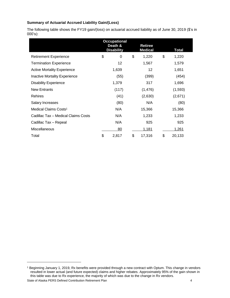#### **Summary of Actuarial Accrued Liability Gain/(Loss)**

The following table shows the FY19 gain/(loss) on actuarial accrued liability as of June 30, 2019 (\$'s in 000's):

|                                      | <b>Occupational</b><br><b>Retiree</b><br>Death &<br><b>Disability</b><br><b>Medical</b> |       |    |          |    | Total   |
|--------------------------------------|-----------------------------------------------------------------------------------------|-------|----|----------|----|---------|
| <b>Retirement Experience</b>         | \$                                                                                      | 0     | \$ | 1,220    | \$ | 1,220   |
| <b>Termination Experience</b>        |                                                                                         | 12    |    | 1,567    |    | 1,579   |
| <b>Active Mortality Experience</b>   |                                                                                         | 1,639 |    | $12 \,$  |    | 1,651   |
| <b>Inactive Mortality Experience</b> |                                                                                         | (55)  |    | (399)    |    | (454)   |
| <b>Disability Experience</b>         |                                                                                         | 1,379 |    | 317      |    | 1,696   |
| <b>New Entrants</b>                  |                                                                                         | (117) |    | (1, 476) |    | (1,593) |
| <b>Rehires</b>                       |                                                                                         | (41)  |    | (2,630)  |    | (2,671) |
| Salary Increases                     |                                                                                         | (80)  |    | N/A      |    | (80)    |
| Medical Claims Costs <sup>1</sup>    |                                                                                         | N/A   |    | 15,366   |    | 15,366  |
| Cadillac Tax - Medical Claims Costs  |                                                                                         | N/A   |    | 1,233    |    | 1,233   |
| Cadillac Tax - Repeal                |                                                                                         | N/A   |    | 925      |    | 925     |
| Miscellaneous                        |                                                                                         | 80    |    | 1,181    |    | 1,261   |
| Total                                | \$                                                                                      | 2,817 | \$ | 17,316   | \$ | 20,133  |

l

State of Alaska PERS Defined Contribution Retirement Plan 4 <sup>1</sup> Beginning January 1, 2019, Rx benefits were provided through a new contract with Optum. This change in vendors resulted in lower actual (and future expected) claims and higher rebates. Approximately 95% of the gain shown in this table was due to Rx experience, the majority of which was due to the change in Rx vendors.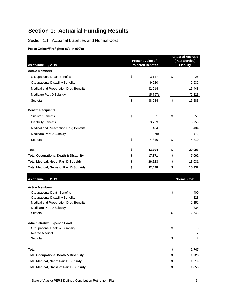# **Section 1: Actuarial Funding Results**

Section 1.1: Actuarial Liabilities and Normal Cost

**Peace Officer/Firefighter (\$'s in 000's)**

| As of June 30, 2019                              | <b>Present Value of</b><br><b>Projected Benefits</b> |    |                    |
|--------------------------------------------------|------------------------------------------------------|----|--------------------|
| <b>Active Members</b>                            |                                                      |    |                    |
| <b>Occupational Death Benefits</b>               | \$<br>3,147                                          | \$ | 26                 |
| <b>Occupational Disability Benefits</b>          | 9,620                                                |    | 2,632              |
| Medical and Prescription Drug Benefits           | 32,014                                               |    | 15,448             |
| Medicare Part D Subsidy                          | (5,797)                                              |    | (2,823)            |
| Subtotal                                         | \$<br>38,984                                         | \$ | 15,283             |
| <b>Benefit Recipients</b>                        |                                                      |    |                    |
| <b>Survivor Benefits</b>                         | \$<br>651                                            | \$ | 651                |
| <b>Disability Benefits</b>                       | 3,753                                                |    | 3,753              |
| Medical and Prescription Drug Benefits           | 484                                                  |    | 484                |
| Medicare Part D Subsidy                          | (78)                                                 |    | (78)               |
| Subtotal                                         | \$<br>4,810                                          | \$ | 4,810              |
| <b>Total</b>                                     | \$<br>43,794                                         | \$ | 20,093             |
| <b>Total Occupational Death &amp; Disability</b> | \$<br>17,171                                         | \$ | 7,062              |
| <b>Total Medical, Net of Part D Subsidy</b>      | \$<br>26,623                                         | \$ | 13,031             |
| <b>Total Medical, Gross of Part D Subsidy</b>    | \$<br>32,498                                         | \$ | 15,932             |
| As of June 30, 2019                              |                                                      |    | <b>Normal Cost</b> |
| <b>Active Members</b>                            |                                                      |    |                    |
| <b>Occupational Death Benefits</b>               |                                                      | \$ | 400                |
| <b>Occupational Disability Benefits</b>          |                                                      |    | 828                |
| Medical and Prescription Drug Benefits           |                                                      |    | 1,851              |
| Medicare Part D Subsidy                          |                                                      |    | (334)              |
| Subtotal                                         |                                                      | \$ | 2,745              |
| <b>Administrative Expense Load</b>               |                                                      |    |                    |
| Occupational Death & Disability                  |                                                      | \$ | 0                  |
| <b>Retiree Medical</b>                           |                                                      |    | $\mathbf{2}$       |
| Subtotal                                         |                                                      | \$ | $\overline{2}$     |
| <b>Total</b>                                     |                                                      | \$ | 2,747              |
| <b>Total Occupational Death &amp; Disability</b> |                                                      | \$ | 1,228              |
| <b>Total Medical, Net of Part D Subsidy</b>      |                                                      | \$ | 1,519              |
| <b>Total Medical, Gross of Part D Subsidy</b>    |                                                      | \$ | 1,853              |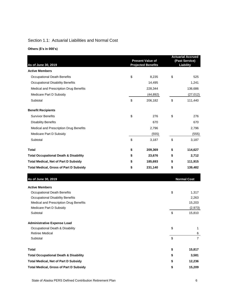# Section 1.1: Actuarial Liabilities and Normal Cost

**Others (\$'s in 000's)**

| As of June 30, 2019                              | <b>Present Value of</b><br><b>Projected Benefits</b> | <b>Actuarial Accrued</b><br>(Past Service)<br>Liability |    |                    |
|--------------------------------------------------|------------------------------------------------------|---------------------------------------------------------|----|--------------------|
| <b>Active Members</b>                            |                                                      |                                                         |    |                    |
| Occupational Death Benefits                      | \$                                                   | 8,235                                                   | \$ | 525                |
| <b>Occupational Disability Benefits</b>          |                                                      | 14,495                                                  |    | 1,241              |
| Medical and Prescription Drug Benefits           |                                                      | 228,344                                                 |    | 136,686            |
| Medicare Part D Subsidy                          |                                                      | (44, 892)                                               |    | (27, 012)          |
| Subtotal                                         | \$                                                   | 206,182                                                 | \$ | 111,440            |
| <b>Benefit Recipients</b>                        |                                                      |                                                         |    |                    |
| <b>Survivor Benefits</b>                         | \$                                                   | 276                                                     | \$ | 276                |
| <b>Disability Benefits</b>                       |                                                      | 670                                                     |    | 670                |
| Medical and Prescription Drug Benefits           |                                                      | 2,796                                                   |    | 2,796              |
| Medicare Part D Subsidy                          |                                                      | (555)                                                   |    | (555)              |
| Subtotal                                         | \$                                                   | 3,187                                                   | \$ | 3,187              |
| <b>Total</b>                                     | \$                                                   | 209,369                                                 | \$ | 114,627            |
| <b>Total Occupational Death &amp; Disability</b> | \$                                                   | 23,676                                                  | \$ | 2,712              |
| <b>Total Medical, Net of Part D Subsidy</b>      | \$                                                   | 185,693                                                 | \$ | 111,915            |
| <b>Total Medical, Gross of Part D Subsidy</b>    | \$                                                   | 231,140                                                 | \$ | 139,482            |
| As of June 30, 2019                              |                                                      |                                                         |    | <b>Normal Cost</b> |
| <b>Active Members</b>                            |                                                      |                                                         |    |                    |
| <b>Occupational Death Benefits</b>               |                                                      |                                                         | \$ | 1,317              |
| <b>Occupational Disability Benefits</b>          |                                                      |                                                         |    | 2,263              |
| Medical and Prescription Drug Benefits           |                                                      |                                                         |    | 15,203             |
| Medicare Part D Subsidy                          |                                                      |                                                         |    | (2,973)            |
| Subtotal                                         |                                                      |                                                         | \$ | 15,810             |
| <b>Administrative Expense Load</b>               |                                                      |                                                         |    |                    |
| Occupational Death & Disability                  |                                                      |                                                         | \$ | 1                  |
| Retiree Medical                                  |                                                      |                                                         |    | 6                  |
| Subtotal                                         |                                                      |                                                         | \$ | $\overline{7}$     |
| <b>Total</b>                                     |                                                      |                                                         | \$ | 15,817             |
| <b>Total Occupational Death &amp; Disability</b> |                                                      |                                                         | \$ | 3,581              |
| <b>Total Medical, Net of Part D Subsidy</b>      |                                                      |                                                         | \$ | 12,236             |
| <b>Total Medical, Gross of Part D Subsidy</b>    |                                                      |                                                         | \$ | 15,209             |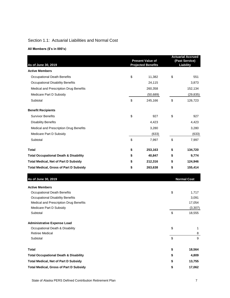## Section 1.1: Actuarial Liabilities and Normal Cost

#### **All Members (\$'s in 000's)**

| As of June 30, 2019                              | <b>Present Value of</b><br><b>Projected Benefits</b> | <b>Actuarial Accrued</b><br>(Past Service)<br>Liability |    |                    |
|--------------------------------------------------|------------------------------------------------------|---------------------------------------------------------|----|--------------------|
| <b>Active Members</b>                            |                                                      |                                                         |    |                    |
| <b>Occupational Death Benefits</b>               | \$                                                   | 11,382                                                  | \$ | 551                |
| <b>Occupational Disability Benefits</b>          |                                                      | 24,115                                                  |    | 3,873              |
| Medical and Prescription Drug Benefits           |                                                      | 260,358                                                 |    | 152,134            |
| Medicare Part D Subsidy                          |                                                      | (50, 689)                                               |    | (29, 835)          |
| Subtotal                                         | \$                                                   | 245,166                                                 | \$ | 126,723            |
| <b>Benefit Recipients</b>                        |                                                      |                                                         |    |                    |
| <b>Survivor Benefits</b>                         | \$                                                   | 927                                                     | \$ | 927                |
| <b>Disability Benefits</b>                       |                                                      | 4,423                                                   |    | 4,423              |
| Medical and Prescription Drug Benefits           |                                                      | 3,280                                                   |    | 3,280              |
| Medicare Part D Subsidy                          |                                                      | (633)                                                   |    | (633)              |
| Subtotal                                         | \$                                                   | 7,997                                                   | \$ | 7,997              |
| <b>Total</b>                                     | \$                                                   | 253,163                                                 | \$ | 134,720            |
| <b>Total Occupational Death &amp; Disability</b> | \$                                                   | 40,847                                                  | \$ | 9,774              |
| <b>Total Medical, Net of Part D Subsidy</b>      | \$                                                   | 212,316                                                 | \$ | 124,946            |
| <b>Total Medical, Gross of Part D Subsidy</b>    | \$                                                   | 263,638                                                 | \$ | 155,414            |
| As of June 30, 2019                              |                                                      |                                                         |    | <b>Normal Cost</b> |
| <b>Active Members</b>                            |                                                      |                                                         |    |                    |
| <b>Occupational Death Benefits</b>               |                                                      |                                                         | \$ | 1,717              |
| <b>Occupational Disability Benefits</b>          |                                                      |                                                         |    | 3,091              |
| Medical and Prescription Drug Benefits           |                                                      |                                                         |    | 17,054             |
| Medicare Part D Subsidy                          |                                                      |                                                         |    | (3, 307)           |
| Subtotal                                         |                                                      |                                                         | \$ | 18,555             |
| <b>Administrative Expense Load</b>               |                                                      |                                                         |    |                    |
| Occupational Death & Disability                  |                                                      |                                                         | \$ | 1                  |
| <b>Retiree Medical</b>                           |                                                      |                                                         |    | 8                  |
| Subtotal                                         |                                                      |                                                         | \$ | 9                  |
| <b>Total</b>                                     |                                                      |                                                         | \$ | 18,564             |
| <b>Total Occupational Death &amp; Disability</b> |                                                      |                                                         | \$ | 4,809              |
| <b>Total Medical, Net of Part D Subsidy</b>      |                                                      |                                                         | \$ | 13,755             |
| <b>Total Medical, Gross of Part D Subsidy</b>    |                                                      |                                                         | \$ | 17,062             |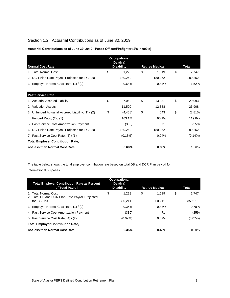# Section 1.2: Actuarial Contributions as of June 30, 2019

| Actuarial Contributions as of June 30, 2019 - Peace Officer/Firefighter (\$'s in 000's) |  |  |  |
|-----------------------------------------------------------------------------------------|--|--|--|
|-----------------------------------------------------------------------------------------|--|--|--|

|                                                    | <b>Occupational</b><br>Death & |                        |                |
|----------------------------------------------------|--------------------------------|------------------------|----------------|
| <b>Normal Cost Rate</b>                            | <b>Disability</b>              | <b>Retiree Medical</b> | <b>Total</b>   |
| 1. Total Normal Cost                               | \$<br>1,228                    | \$<br>1,519            | \$<br>2,747    |
| 2. DCR Plan Rate Payroll Projected for FY2020      | 180,262                        | 180,262                | 180,262        |
| 3. Employer Normal Cost Rate, (1) / (2)            | 0.68%                          | 0.84%                  | 1.52%          |
|                                                    |                                |                        |                |
| <b>Past Service Rate</b>                           |                                |                        |                |
| 1. Actuarial Accrued Liability                     | \$<br>7,062                    | \$<br>13,031           | \$<br>20,093   |
| 2. Valuation Assets                                | 11,520                         | 12,388                 | 23,908         |
| 3. Unfunded Actuarial Accrued Liability, (1) - (2) | \$<br>(4, 458)                 | \$<br>643              | \$<br>(3, 815) |
| 4. Funded Ratio, (2) / (1)                         | 163.1%                         | 95.1%                  | 119.0%         |
| 5. Past Service Cost Amortization Payment          | (330)                          | 71                     | (259)          |
| 6. DCR Plan Rate Payroll Projected for FY2020      | 180,262                        | 180,262                | 180,262        |
| 7. Past Service Cost Rate, (5) / (6)               | (0.18%)                        | 0.04%                  | $(0.14\%)$     |
| <b>Total Employer Contribution Rate,</b>           |                                |                        |                |
| not less than Normal Cost Rate                     | 0.68%                          | 0.88%                  | 1.56%          |

The table below shows the total employer contribution rate based on total DB and DCR Plan payroll for informational purposes.

| <b>Total Employer Contribution Rate as Percent</b><br>of Total Payroll                | <b>Occupational</b><br>Death &<br><b>Disability</b> | <b>Retiree Medical</b> | <b>Total</b>           |
|---------------------------------------------------------------------------------------|-----------------------------------------------------|------------------------|------------------------|
| 1. Total Normal Cost<br>2. Total DB and DCR Plan Rate Payroll Projected<br>for FY2020 | \$<br>1,228<br>350,211                              | \$<br>1.519<br>350.211 | \$<br>2,747<br>350,211 |
| 3. Employer Normal Cost Rate, (1) / (2)                                               | 0.35%                                               | 0.43%                  | 0.78%                  |
| 4. Past Service Cost Amortization Payment                                             | (330)                                               | 71                     | (259)                  |
| 5. Past Service Cost Rate, (4) / (2)                                                  | $(0.09\%)$                                          | 0.02%                  | $(0.07\%)$             |
| <b>Total Employer Contribution Rate,</b>                                              |                                                     |                        |                        |
| not less than Normal Cost Rate                                                        | 0.35%                                               | 0.45%                  | 0.80%                  |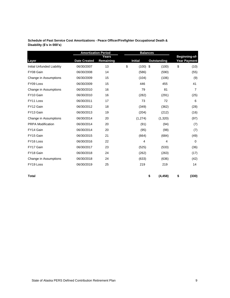| Schedule of Past Service Cost Amortizations - Peace Officer/Firefighter Occupational Death & |
|----------------------------------------------------------------------------------------------|
| Disability (\$'s in 000's)                                                                   |

|                            | <b>Amortization Period</b> |                    | <b>Balances</b> |             |    |                                      |
|----------------------------|----------------------------|--------------------|-----------------|-------------|----|--------------------------------------|
| Layer                      | <b>Date Created</b>        | Years<br>Remaining | <b>Initial</b>  | Outstanding |    | Beginning-of-<br><b>Year Payment</b> |
| Initial Unfunded Liability | 06/30/2007                 | 13                 | \$<br>(100)     | \$<br>(100) | \$ | (10)                                 |
| FY08 Gain                  | 06/30/2008                 | 14                 | (586)           | (590)       |    | (55)                                 |
| Change in Assumptions      | 06/30/2009                 | 15                 | (104)           | (106)       |    | (9)                                  |
| FY09 Loss                  | 06/30/2009                 | 15                 | 446             | 455         |    | 41                                   |
| Change in Assumptions      | 06/30/2010                 | 16                 | 79              | 81          |    | 7                                    |
| FY10 Gain                  | 06/30/2010                 | 16                 | (282)           | (291)       |    | (25)                                 |
| FY11 Loss                  | 06/30/2011                 | 17                 | 73              | 72          |    | 6                                    |
| FY12 Gain                  | 06/30/2012                 | 18                 | (349)           | (362)       |    | (28)                                 |
| FY13 Gain                  | 06/30/2013                 | 19                 | (204)           | (212)       |    | (16)                                 |
| Change in Assumptions      | 06/30/2014                 | 20                 | (1,274)         | (1,320)     |    | (97)                                 |
| <b>PRPA Modification</b>   | 06/30/2014                 | 20                 | (91)            | (94)        |    | (7)                                  |
| FY14 Gain                  | 06/30/2014                 | 20                 | (95)            | (98)        |    | (7)                                  |
| FY15 Gain                  | 06/30/2015                 | 21                 | (664)           | (684)       |    | (49)                                 |
| FY16 Loss                  | 06/30/2016                 | 22                 | 4               | 4           |    | 0                                    |
| FY17 Gain                  | 06/30/2017                 | 23                 | (525)           | (533)       |    | (36)                                 |
| FY18 Gain                  | 06/30/2018                 | 24                 | (262)           | (263)       |    | (17)                                 |
| Change in Assumptions      | 06/30/2018                 | 24                 | (633)           | (636)       |    | (42)                                 |
| FY19 Loss                  | 06/30/2019                 | 25                 | 219             | 219         |    | 14                                   |
|                            |                            |                    |                 |             |    |                                      |

**Total \$ (4,458) \$ (330)**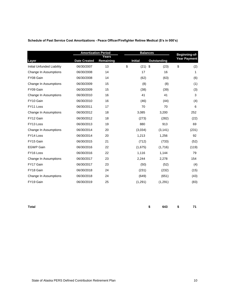|  | Schedule of Past Service Cost Amortizations - Peace Officer/Firefighter Retiree Medical (\$'s in 000's) |
|--|---------------------------------------------------------------------------------------------------------|
|  |                                                                                                         |

|                            |                     | <b>Amortization Period</b><br><b>Balances</b> |    |                |                    | Beginning-of-       |  |
|----------------------------|---------------------|-----------------------------------------------|----|----------------|--------------------|---------------------|--|
| Layer                      | <b>Date Created</b> | Years<br>Remaining                            |    | <b>Initial</b> | <b>Outstanding</b> | <b>Year Payment</b> |  |
| Initial Unfunded Liability | 06/30/2007          | 13                                            | \$ | (21)           | \$<br>(23)         | \$<br>(2)           |  |
| Change In Assumptions      | 06/30/2008          | 14                                            |    | 17             | 16                 | 1                   |  |
| FY08 Gain                  | 06/30/2008          | 14                                            |    | (62)           | (63)               | (6)                 |  |
| Change In Assumptions      | 06/30/2009          | 15                                            |    | (8)            | (8)                | (1)                 |  |
| FY09 Gain                  | 06/30/2009          | 15                                            |    | (38)           | (39)               | (3)                 |  |
| Change In Assumptions      | 06/30/2010          | 16                                            |    | 41             | 41                 | 3                   |  |
| FY10 Gain                  | 06/30/2010          | 16                                            |    | (46)           | (44)               | (4)                 |  |
| FY11 Loss                  | 06/30/2011          | 17                                            |    | 70             | 70                 | 6                   |  |
| Change In Assumptions      | 06/30/2012          | 18                                            |    | 3,085          | 3,200              | 252                 |  |
| FY12 Gain                  | 06/30/2012          | 18                                            |    | (273)          | (282)              | (22)                |  |
| FY13 Loss                  | 06/30/2013          | 19                                            |    | 880            | 913                | 69                  |  |
| Change In Assumptions      | 06/30/2014          | 20                                            |    | (3,034)        | (3, 141)           | (231)               |  |
| FY14 Loss                  | 06/30/2014          | 20                                            |    | 1,213          | 1,256              | 92                  |  |
| FY15 Gain                  | 06/30/2015          | 21                                            |    | (712)          | (733)              | (52)                |  |
| <b>EGWP Gain</b>           | 06/30/2016          | 22                                            |    | (1,675)        | (1,716)            | (119)               |  |
| FY16 Loss                  | 06/30/2016          | 22                                            |    | 1,116          | 1,144              | 79                  |  |
| Change In Assumptions      | 06/30/2017          | 23                                            |    | 2,244          | 2,278              | 154                 |  |
| FY17 Gain                  | 06/30/2017          | 23                                            |    | (50)           | (52)               | (4)                 |  |
| FY18 Gain                  | 06/30/2018          | 24                                            |    | (231)          | (232)              | (15)                |  |
| Change In Assumptions      | 06/30/2018          | 24                                            |    | (649)          | (651)              | (43)                |  |
| FY19 Gain                  | 06/30/2019          | 25                                            |    | (1,291)        | (1,291)            | (83)                |  |

**Total \$ 643 \$ 71**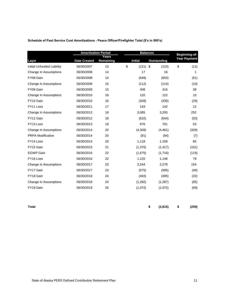| Schedule of Past Service Cost Amortizations - Peace Officer/Firefighter Total (\$'s in 000's) |  |  |  |  |
|-----------------------------------------------------------------------------------------------|--|--|--|--|

|                            | <b>Amortization Period</b> |                    | <b>Balances</b>  | Beginning-of-      |                     |
|----------------------------|----------------------------|--------------------|------------------|--------------------|---------------------|
| Layer                      | <b>Date Created</b>        | Years<br>Remaining | <b>Initial</b>   | <b>Outstanding</b> | <b>Year Payment</b> |
| Initial Unfunded Liability | 06/30/2007                 | 13                 | \$<br>$(121)$ \$ | (123)              | \$<br>(12)          |
| Change In Assumptions      | 06/30/2008                 | 14                 | 17               | 16                 | 1                   |
| FY08 Gain                  | 06/30/2008                 | 14                 | (648)            | (653)              | (61)                |
| Change In Assumptions      | 06/30/2009                 | 15                 | (112)            | (114)              | (10)                |
| FY09 Gain                  | 06/30/2009                 | 15                 | 408              | 416                | 38                  |
| Change In Assumptions      | 06/30/2010                 | 16                 | 120              | 122                | 10                  |
| FY10 Gain                  | 06/30/2010                 | 16                 | (328)            | (335)              | (29)                |
| FY11 Loss                  | 06/30/2011                 | 17                 | 143              | 142                | 12                  |
| Change In Assumptions      | 06/30/2012                 | 18                 | 3,085            | 3,200              | 252                 |
| FY12 Gain                  | 06/30/2012                 | 18                 | (622)            | (644)              | (50)                |
| FY13 Loss                  | 06/30/2013                 | 19                 | 676              | 701                | 53                  |
| Change In Assumptions      | 06/30/2014                 | 20                 | (4,308)          | (4, 461)           | (328)               |
| <b>PRPA Modification</b>   | 06/30/2014                 | 20                 | (91)             | (94)               | (7)                 |
| FY14 Loss                  | 06/30/2014                 | 20                 | 1,118            | 1,158              | 85                  |
| FY15 Gain                  | 06/30/2015                 | 21                 | (1,376)          | (1, 417)           | (101)               |
| <b>EGWP Gain</b>           | 06/30/2016                 | 22                 | (1,675)          | (1,716)            | (119)               |
| FY16 Loss                  | 06/30/2016                 | 22                 | 1,120            | 1,148              | 79                  |
| Change In Assumptions      | 06/30/2017                 | 23                 | 2,244            | 2,278              | 154                 |
| FY17 Gain                  | 06/30/2017                 | 23                 | (575)            | (585)              | (40)                |
| FY18 Gain                  | 06/30/2018                 | 24                 | (493)            | (495)              | (32)                |
| Change In Assumptions      | 06/30/2018                 | 24                 | (1,282)          | (1, 287)           | (85)                |
| FY19 Gain                  | 06/30/2019                 | 25                 | (1,072)          | (1,072)            | (69)                |
|                            |                            |                    |                  |                    |                     |

**Total \$ (3,815) \$ (259)**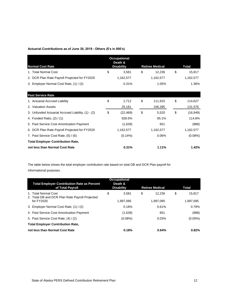#### **Actuarial Contributions as of June 30, 2019 - Others (\$'s in 000's)**

|                                                    | <b>Occupational</b><br>Death & |                        |                 |
|----------------------------------------------------|--------------------------------|------------------------|-----------------|
| <b>Normal Cost Rate</b>                            | <b>Disability</b>              | <b>Retiree Medical</b> | <b>Total</b>    |
| 1. Total Normal Cost                               | \$<br>3,581                    | \$<br>12,236           | \$<br>15,817    |
| 2. DCR Plan Rate Payroll Projected for FY2020      | 1,162,577                      | 1,162,577              | 1,162,577       |
| 3. Employer Normal Cost Rate, (1) / (2)            | 0.31%                          | 1.05%                  | 1.36%           |
|                                                    |                                |                        |                 |
| <b>Past Service Rate</b>                           |                                |                        |                 |
| 1. Actuarial Accrued Liability                     | \$<br>2,712                    | \$<br>111,915          | \$<br>114,627   |
| 2. Valuation Assets                                | 25,181                         | 106,395                | 131,576         |
| 3. Unfunded Actuarial Accrued Liability, (1) - (2) | \$<br>(22, 469)                | \$<br>5,520            | \$<br>(16, 949) |
| 4. Funded Ratio, (2) / (1)                         | 928.5%                         | 95.1%                  | 114.8%          |
| 5. Past Service Cost Amortization Payment          | (1,639)                        | 651                    | (988)           |
| 6. DCR Plan Rate Payroll Projected for FY2020      | 1,162,577                      | 1,162,577              | 1,162,577       |
| 7. Past Service Cost Rate, (5) / (6)               | $(0.14\%)$                     | 0.06%                  | $(0.08\%)$      |
| <b>Total Employer Contribution Rate,</b>           |                                |                        |                 |
| not less than Normal Cost Rate                     | 0.31%                          | 1.11%                  | 1.42%           |

The table below shows the total employer contribution rate based on total DB and DCR Plan payroll for informational purposes.

| <b>Total Employer Contribution Rate as Percent</b><br>of Total Payroll                | <b>Occupational</b><br>Death &<br><b>Disability</b> | <b>Retiree Medical</b>    | <b>Total</b>              |
|---------------------------------------------------------------------------------------|-----------------------------------------------------|---------------------------|---------------------------|
| 1. Total Normal Cost<br>2. Total DB and DCR Plan Rate Payroll Projected<br>for FY2020 | \$<br>3.581<br>1,997,095                            | \$<br>12.236<br>1.997.095 | \$<br>15,817<br>1.997.095 |
| 3. Employer Normal Cost Rate, (1) / (2)                                               | 0.18%                                               | 0.61%                     | 0.79%                     |
| 4. Past Service Cost Amortization Payment                                             | (1,639)                                             | 651                       | (988)                     |
| 5. Past Service Cost Rate, (4) / (2)                                                  | $(0.08\%)$                                          | 0.03%                     | $(0.05\%)$                |
| <b>Total Employer Contribution Rate,</b>                                              |                                                     |                           |                           |
| not less than Normal Cost Rate                                                        | 0.18%                                               | 0.64%                     | 0.82%                     |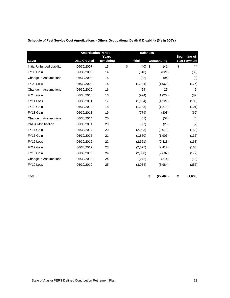| Schedule of Past Service Cost Amortizations - Others Occupational Death & Disability (\$'s in 000's) |  |                 |  |  |  |  |  |
|------------------------------------------------------------------------------------------------------|--|-----------------|--|--|--|--|--|
|                                                                                                      |  |                 |  |  |  |  |  |
| <b>Amortization Period</b>                                                                           |  | <b>Balances</b> |  |  |  |  |  |

| Layer                             | <b>Date Created</b> | Years<br>Remaining | <b>Initial</b> | <b>Outstanding</b> | Beginning-of-<br><b>Year Payment</b> |
|-----------------------------------|---------------------|--------------------|----------------|--------------------|--------------------------------------|
| <b>Initial Unfunded Liability</b> | 06/30/2007          | 13                 | \$<br>(40)     | \$<br>(41)         | \$<br>(4)                            |
| FY08 Gain                         | 06/30/2008          | 14                 | (318)          | (321)              | (30)                                 |
| Change in Assumptions             | 06/30/2009          | 15                 | (92)           | (94)               | (9)                                  |
| FY09 Loss                         | 06/30/2009          | 15                 | (1,924)        | (1,960)            | (175)                                |
| Change in Assumptions             | 06/30/2010          | 16                 | 24             | 25                 | 2                                    |
| FY10 Gain                         | 06/30/2010          | 16                 | (994)          | (1,022)            | (87)                                 |
| FY11 Loss                         | 06/30/2011          | 17                 | (1, 184)       | (1,221)            | (100)                                |
| FY12 Gain                         | 06/30/2012          | 18                 | (1,233)        | (1,278)            | (101)                                |
| FY13 Gain                         | 06/30/2013          | 19                 | (779)          | (808)              | (62)                                 |
| Change in Assumptions             | 06/30/2014          | 20                 | (51)           | (52)               | (4)                                  |
| <b>PRPA Modification</b>          | 06/30/2014          | 20                 | (27)           | (28)               | (2)                                  |
| FY14 Gain                         | 06/30/2014          | 20                 | (2,003)        | (2,073)            | (153)                                |
| FY15 Gain                         | 06/30/2015          | 21                 | (1,850)        | (1,906)            | (136)                                |
| FY16 Loss                         | 06/30/2016          | 22                 | (2,361)        | (2, 418)           | (168)                                |
| FY17 Gain                         | 06/30/2017          | 23                 | (2,377)        | (2, 412)           | (163)                                |
| FY18 Gain                         | 06/30/2018          | 24                 | (2,590)        | (2,602)            | (172)                                |
| Change in Assumptions             | 06/30/2018          | 24                 | (272)          | (274)              | (18)                                 |
| FY19 Loss                         | 06/30/2019          | 25                 | (3,984)        | (3,984)            | (257)                                |

**Total \$ (22,469) \$ (1,639)**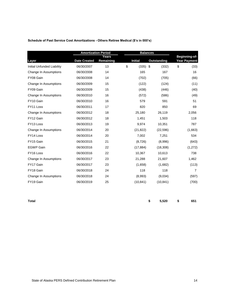| Schedule of Past Service Cost Amortizations - Others Retiree Medical (\$'s in 000's) |  |  |  |  |
|--------------------------------------------------------------------------------------|--|--|--|--|
|                                                                                      |  |  |  |  |

|                            | <b>Amortization Period</b> |                    | <b>Balances</b> |              |                                      |
|----------------------------|----------------------------|--------------------|-----------------|--------------|--------------------------------------|
| Layer                      | <b>Date Created</b>        | Years<br>Remaining | <b>Initial</b>  | Outstanding  | Beginning-of-<br><b>Year Payment</b> |
| Initial Unfunded Liability | 06/30/2007                 | 13                 | \$<br>(335)     | -\$<br>(332) | \$<br>(33)                           |
| Change In Assumptions      | 06/30/2008                 | 14                 | 165             | 167          | 16                                   |
| FY08 Gain                  | 06/30/2008                 | 14                 | (702)           | (705)        | (66)                                 |
| Change In Assumptions      | 06/30/2009                 | 15                 | (122)           | (124)        | (11)                                 |
| FY09 Gain                  | 06/30/2009                 | 15                 | (438)           | (446)        | (40)                                 |
| Change In Assumptions      | 06/30/2010                 | 16                 | (572)           | (586)        | (49)                                 |
| FY10 Gain                  | 06/30/2010                 | 16                 | 579             | 591          | 51                                   |
| FY11 Loss                  | 06/30/2011                 | 17                 | 820             | 850          | 69                                   |
| Change In Assumptions      | 06/30/2012                 | 18                 | 25,180          | 26,119       | 2,056                                |
| FY12 Gain                  | 06/30/2012                 | 18                 | 1,451           | 1,503        | 118                                  |
| FY13 Loss                  | 06/30/2013                 | 19                 | 9,974           | 10,351       | 787                                  |
| Change In Assumptions      | 06/30/2014                 | 20                 | (21, 822)       | (22, 596)    | (1,663)                              |
| FY14 Loss                  | 06/30/2014                 | 20                 | 7,002           | 7,251        | 534                                  |
| FY15 Gain                  | 06/30/2015                 | 21                 | (8,726)         | (8,996)      | (643)                                |
| <b>EGWP Gain</b>           | 06/30/2016                 | 22                 | (17, 884)       | (18, 308)    | (1,272)                              |
| FY16 Loss                  | 06/30/2016                 | 22                 | 10,367          | 10,613       | 738                                  |
| Change In Assumptions      | 06/30/2017                 | 23                 | 21,288          | 21,607       | 1,462                                |
| FY17 Gain                  | 06/30/2017                 | 23                 | (1,658)         | (1,682)      | (113)                                |
| FY18 Gain                  | 06/30/2018                 | 24                 | 118             | 118          | $\overline{7}$                       |
| Change In Assumptions      | 06/30/2018                 | 24                 | (8,993)         | (9,034)      | (597)                                |
| FY19 Gain                  | 06/30/2019                 | 25                 | (10, 841)       | (10, 841)    | (700)                                |

**Total \$ 5,520 \$ 651**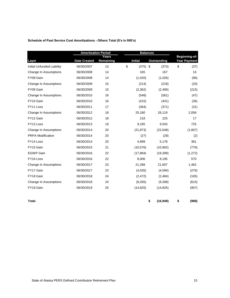| Schedule of Past Service Cost Amortizations - Others Total (\$'s in 000's) |  |  |  |
|----------------------------------------------------------------------------|--|--|--|
|                                                                            |  |  |  |

|                            | <b>Amortization Period</b> |                    | <b>Balances</b> |              |                               |  |
|----------------------------|----------------------------|--------------------|-----------------|--------------|-------------------------------|--|
| Layer                      | <b>Date Created</b>        | Years<br>Remaining | <b>Initial</b>  | Outstanding  | Beginning-of-<br>Year Payment |  |
| Initial Unfunded Liability | 06/30/2007                 | 13                 | \$<br>(375)     | -\$<br>(373) | \$<br>(37)                    |  |
| Change In Assumptions      | 06/30/2008                 | 14                 | 165             | 167          | 16                            |  |
| FY08 Gain                  | 06/30/2008                 | 14                 | (1,020)         | (1,026)      | (96)                          |  |
| Change In Assumptions      | 06/30/2009                 | 15                 | (214)           | (218)        | (20)                          |  |
| FY09 Gain                  | 06/30/2009                 | 15                 | (2, 362)        | (2,406)      | (215)                         |  |
| Change In Assumptions      | 06/30/2010                 | 16                 | (548)           | (561)        | (47)                          |  |
| FY10 Gain                  | 06/30/2010                 | 16                 | (415)           | (431)        | (36)                          |  |
| FY11 Loss                  | 06/30/2011                 | 17                 | (364)           | (371)        | (31)                          |  |
| Change In Assumptions      | 06/30/2012                 | 18                 | 25,180          | 26,119       | 2,056                         |  |
| FY12 Gain                  | 06/30/2012                 | 18                 | 218             | 225          | 17                            |  |
| FY13 Loss                  | 06/30/2013                 | 19                 | 9,195           | 9,543        | 725                           |  |
| Change In Assumptions      | 06/30/2014                 | 20                 | (21, 873)       | (22, 648)    | (1,667)                       |  |
| <b>PRPA Modification</b>   | 06/30/2014                 | 20                 | (27)            | (28)         | (2)                           |  |
| FY14 Loss                  | 06/30/2014                 | 20                 | 4,999           | 5,178        | 381                           |  |
| FY15 Gain                  | 06/30/2015                 | 21                 | (10, 576)       | (10,902)     | (779)                         |  |
| <b>EGWP Gain</b>           | 06/30/2016                 | 22                 | (17, 884)       | (18, 308)    | (1, 272)                      |  |
| FY16 Loss                  | 06/30/2016                 | 22                 | 8,006           | 8,195        | 570                           |  |
| Change In Assumptions      | 06/30/2017                 | 23                 | 21,288          | 21,607       | 1,462                         |  |
| FY17 Gain                  | 06/30/2017                 | 23                 | (4,035)         | (4,094)      | (276)                         |  |
| FY18 Gain                  | 06/30/2018                 | 24                 | (2, 472)        | (2,484)      | (165)                         |  |
| Change In Assumptions      | 06/30/2018                 | 24                 | (9,265)         | (9,308)      | (615)                         |  |
| FY19 Gain                  | 06/30/2019                 | 25                 | (14, 825)       | (14, 825)    | (957)                         |  |
|                            |                            |                    |                 |              |                               |  |

**Total \$ (16,949) \$ (988)**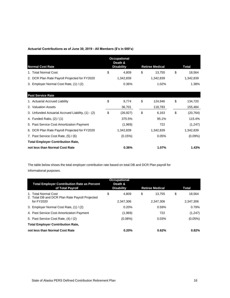#### **Actuarial Contributions as of June 30, 2019 - All Members (\$'s in 000's)**

|                                                    | <b>Occupational</b><br>Death & |                        |                 |
|----------------------------------------------------|--------------------------------|------------------------|-----------------|
| <b>Normal Cost Rate</b>                            | <b>Disability</b>              | <b>Retiree Medical</b> | Total           |
| 1. Total Normal Cost                               | \$<br>4,809                    | \$<br>13,755           | \$<br>18,564    |
| 2. DCR Plan Rate Payroll Projected for FY2020      | 1,342,839                      | 1,342,839              | 1,342,839       |
| 3. Employer Normal Cost Rate, (1) / (2)            | 0.36%                          | 1.02%                  | 1.38%           |
| <b>Past Service Rate</b>                           |                                |                        |                 |
| 1. Actuarial Accrued Liability                     | \$<br>9,774                    | \$<br>124,946          | \$<br>134,720   |
| 2. Valuation Assets                                | 36,701                         | 118,783                | 155,484         |
| 3. Unfunded Actuarial Accrued Liability, (1) - (2) | \$<br>(26, 927)                | \$<br>6,163            | \$<br>(20, 764) |
| 4. Funded Ratio, (2) / (1)                         | 375.5%                         | 95.1%                  | 115.4%          |
| 5. Past Service Cost Amortization Payment          | (1,969)                        | 722                    | (1,247)         |
| 6. DCR Plan Rate Payroll Projected for FY2020      | 1,342,839                      | 1,342,839              | 1,342,839       |
| 7. Past Service Cost Rate, (5) / (6)               | (0.15%)                        | 0.05%                  | $(0.09\%)$      |
| <b>Total Employer Contribution Rate,</b>           |                                |                        |                 |
| not less than Normal Cost Rate                     | 0.36%                          | 1.07%                  | 1.43%           |

The table below shows the total employer contribution rate based on total DB and DCR Plan payroll for informational purposes.

| <b>Total Employer Contribution Rate as Percent</b><br>of Total Payroll                | <b>Occupational</b><br>Death &<br><b>Disability</b> | <b>Retiree Medical</b>    | <b>Total</b>              |
|---------------------------------------------------------------------------------------|-----------------------------------------------------|---------------------------|---------------------------|
| 1. Total Normal Cost<br>2. Total DB and DCR Plan Rate Payroll Projected<br>for FY2020 | \$<br>4.809<br>2.347,306                            | \$<br>13.755<br>2.347.306 | \$<br>18,564<br>2,347,306 |
| 3. Employer Normal Cost Rate, (1) / (2)                                               | 0.20%                                               | 0.59%                     | 0.79%                     |
| 4. Past Service Cost Amortization Payment                                             | (1,969)                                             | 722                       | (1, 247)                  |
| 5. Past Service Cost Rate, (4) / (2)                                                  | $(0.08\%)$                                          | 0.03%                     | $(0.05\%)$                |
| <b>Total Employer Contribution Rate,</b>                                              |                                                     |                           |                           |
| not less than Normal Cost Rate                                                        | 0.20%                                               | 0.62%                     | 0.82%                     |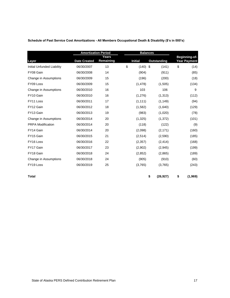|                            | <b>Amortization Period</b> |                    | <b>Balances</b> |                |             |                                      |
|----------------------------|----------------------------|--------------------|-----------------|----------------|-------------|--------------------------------------|
| Layer                      | <b>Date Created</b>        | Years<br>Remaining |                 | <b>Initial</b> | Outstanding | Beginning-of-<br><b>Year Payment</b> |
| Initial Unfunded Liability | 06/30/2007                 | 13                 | \$              | $(140)$ \$     | (141)       | \$<br>(14)                           |
| FY08 Gain                  | 06/30/2008                 | 14                 |                 | (904)          | (911)       | (85)                                 |
| Change in Assumptions      | 06/30/2009                 | 15                 |                 | (196)          | (200)       | (18)                                 |
| FY09 Loss                  | 06/30/2009                 | 15                 |                 | (1, 478)       | (1,505)     | (134)                                |
| Change in Assumptions      | 06/30/2010                 | 16                 |                 | 103            | 106         | 9                                    |
| FY10 Gain                  | 06/30/2010                 | 16                 |                 | (1,276)        | (1,313)     | (112)                                |
| FY11 Loss                  | 06/30/2011                 | 17                 |                 | (1, 111)       | (1, 149)    | (94)                                 |
| FY12 Gain                  | 06/30/2012                 | 18                 |                 | (1,582)        | (1,640)     | (129)                                |
| FY13 Gain                  | 06/30/2013                 | 19                 |                 | (983)          | (1,020)     | (78)                                 |
| Change in Assumptions      | 06/30/2014                 | 20                 |                 | (1,325)        | (1,372)     | (101)                                |
| <b>PRPA Modification</b>   | 06/30/2014                 | 20                 |                 | (118)          | (122)       | (9)                                  |
| FY14 Gain                  | 06/30/2014                 | 20                 |                 | (2,098)        | (2, 171)    | (160)                                |
| FY15 Gain                  | 06/30/2015                 | 21                 |                 | (2,514)        | (2,590)     | (185)                                |
| FY16 Loss                  | 06/30/2016                 | 22                 |                 | (2,357)        | (2, 414)    | (168)                                |
| FY17 Gain                  | 06/30/2017                 | 23                 |                 | (2,902)        | (2,945)     | (199)                                |
| FY18 Gain                  | 06/30/2018                 | 24                 |                 | (2,852)        | (2,865)     | (189)                                |
| Change in Assumptions      | 06/30/2018                 | 24                 |                 | (905)          | (910)       | (60)                                 |
| FY19 Loss                  | 06/30/2019                 | 25                 |                 | (3,765)        | (3,765)     | (243)                                |

**Schedule of Past Service Cost Amortizations - All Members Occupational Death & Disability (\$'s in 000's)**

**Total \$ (26,927) \$ (1,969)**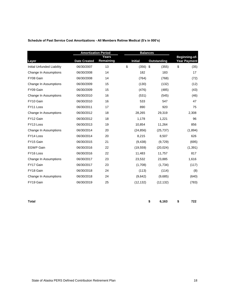| Schedule of Past Service Cost Amortizations - All Members Retiree Medical (\$'s in 000's) |  |  |  |
|-------------------------------------------------------------------------------------------|--|--|--|
|                                                                                           |  |  |  |

|                            | <b>Amortization Period</b> |                    | <b>Balances</b> |             |                                      |
|----------------------------|----------------------------|--------------------|-----------------|-------------|--------------------------------------|
|                            | <b>Date Created</b>        | Years<br>Remaining | <b>Initial</b>  | Outstanding | Beginning-of-<br><b>Year Payment</b> |
| Layer                      |                            |                    |                 |             |                                      |
| Initial Unfunded Liability | 06/30/2007                 | 13                 | \$<br>(356)     | \$<br>(355) | \$<br>(35)                           |
| Change In Assumptions      | 06/30/2008                 | 14                 | 182             | 183         | 17                                   |
| FY08 Gain                  | 06/30/2008                 | 14                 | (764)           | (768)       | (72)                                 |
| Change In Assumptions      | 06/30/2009                 | 15                 | (130)           | (132)       | (12)                                 |
| FY09 Gain                  | 06/30/2009                 | 15                 | (476)           | (485)       | (43)                                 |
| Change In Assumptions      | 06/30/2010                 | 16                 | (531)           | (545)       | (46)                                 |
| FY10 Gain                  | 06/30/2010                 | 16                 | 533             | 547         | 47                                   |
| FY11 Loss                  | 06/30/2011                 | 17                 | 890             | 920         | 75                                   |
| Change In Assumptions      | 06/30/2012                 | 18                 | 28,265          | 29,319      | 2,308                                |
| FY12 Gain                  | 06/30/2012                 | 18                 | 1,178           | 1,221       | 96                                   |
| FY13 Loss                  | 06/30/2013                 | 19                 | 10,854          | 11,264      | 856                                  |
| Change In Assumptions      | 06/30/2014                 | 20                 | (24, 856)       | (25, 737)   | (1,894)                              |
| FY14 Loss                  | 06/30/2014                 | 20                 | 8,215           | 8,507       | 626                                  |
| FY15 Gain                  | 06/30/2015                 | 21                 | (9, 438)        | (9,729)     | (695)                                |
| <b>EGWP Gain</b>           | 06/30/2016                 | 22                 | (19, 559)       | (20, 024)   | (1, 391)                             |
| FY16 Loss                  | 06/30/2016                 | 22                 | 11,483          | 11,757      | 817                                  |
| Change In Assumptions      | 06/30/2017                 | 23                 | 23,532          | 23,885      | 1,616                                |
| FY17 Gain                  | 06/30/2017                 | 23                 | (1,708)         | (1,734)     | (117)                                |
| FY18 Gain                  | 06/30/2018                 | 24                 | (113)           | (114)       | (8)                                  |
| Change In Assumptions      | 06/30/2018                 | 24                 | (9,642)         | (9,685)     | (640)                                |
| FY19 Gain                  | 06/30/2019                 | 25                 | (12, 132)       | (12, 132)   | (783)                                |

**Total \$ 6,163 \$ 722**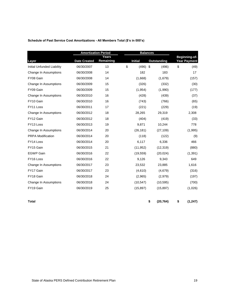| Schedule of Past Service Cost Amortizations - All Members Total (\$'s in 000's) |  |
|---------------------------------------------------------------------------------|--|
|                                                                                 |  |

|                            | <b>Amortization Period</b> |                    | <b>Balances</b>  |                    |                                      |
|----------------------------|----------------------------|--------------------|------------------|--------------------|--------------------------------------|
|                            | <b>Date Created</b>        | Years<br>Remaining | <b>Initial</b>   | <b>Outstanding</b> | Beginning-of-<br><b>Year Payment</b> |
| Layer                      |                            |                    |                  |                    |                                      |
| Initial Unfunded Liability | 06/30/2007                 | 13                 | \$<br>$(496)$ \$ | (496)              | \$<br>(49)                           |
| Change In Assumptions      | 06/30/2008                 | 14                 | 182              | 183                | 17                                   |
| FY08 Gain                  | 06/30/2008                 | 14                 | (1,668)          | (1,679)            | (157)                                |
| Change In Assumptions      | 06/30/2009                 | 15                 | (326)            | (332)              | (30)                                 |
| FY09 Gain                  | 06/30/2009                 | 15                 | (1,954)          | (1,990)            | (177)                                |
| Change In Assumptions      | 06/30/2010                 | 16                 | (428)            | (439)              | (37)                                 |
| FY10 Gain                  | 06/30/2010                 | 16                 | (743)            | (766)              | (65)                                 |
| FY11 Loss                  | 06/30/2011                 | 17                 | (221)            | (229)              | (19)                                 |
| Change In Assumptions      | 06/30/2012                 | 18                 | 28,265           | 29,319             | 2,308                                |
| FY12 Gain                  | 06/30/2012                 | 18                 | (404)            | (419)              | (33)                                 |
| FY13 Loss                  | 06/30/2013                 | 19                 | 9,871            | 10,244             | 778                                  |
| Change In Assumptions      | 06/30/2014                 | 20                 | (26, 181)        | (27, 109)          | (1,995)                              |
| <b>PRPA Modification</b>   | 06/30/2014                 | 20                 | (118)            | (122)              | (9)                                  |
| FY14 Loss                  | 06/30/2014                 | 20                 | 6,117            | 6,336              | 466                                  |
| FY15 Gain                  | 06/30/2015                 | 21                 | (11, 952)        | (12, 319)          | (880)                                |
| <b>EGWP Gain</b>           | 06/30/2016                 | 22                 | (19, 559)        | (20, 024)          | (1, 391)                             |
| FY16 Loss                  | 06/30/2016                 | 22                 | 9,126            | 9,343              | 649                                  |
| Change In Assumptions      | 06/30/2017                 | 23                 | 23,532           | 23,885             | 1,616                                |
| FY17 Gain                  | 06/30/2017                 | 23                 | (4,610)          | (4,679)            | (316)                                |
| FY18 Gain                  | 06/30/2018                 | 24                 | (2,965)          | (2,979)            | (197)                                |
| Change In Assumptions      | 06/30/2018                 | 24                 | (10, 547)        | (10, 595)          | (700)                                |
| FY19 Gain                  | 06/30/2019                 | 25                 | (15, 897)        | (15, 897)          | (1,026)                              |
|                            |                            |                    |                  |                    |                                      |

**Total \$ (20,764) \$ (1,247)**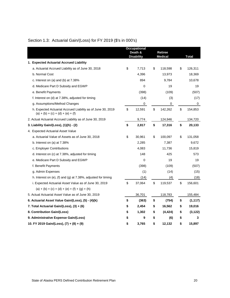| Section 1.3: Actuarial Gain/(Loss) for FY 2019 (\$'s in 000's) |  |  |  |  |  |  |
|----------------------------------------------------------------|--|--|--|--|--|--|
|----------------------------------------------------------------|--|--|--|--|--|--|

|                                                                                                    |    | <b>Occupational</b><br>Death &<br><b>Disability</b> | <b>Retiree</b><br><b>Medical</b> | <b>Total</b>   |
|----------------------------------------------------------------------------------------------------|----|-----------------------------------------------------|----------------------------------|----------------|
| 1. Expected Actuarial Accrued Liability                                                            |    |                                                     |                                  |                |
| a. Actuarial Accrued Liability as of June 30, 2018                                                 | \$ | 7,713                                               | \$<br>118,598                    | \$<br>126,311  |
| b. Normal Cost                                                                                     |    | 4,396                                               | 13,973                           | 18,369         |
| c. Interest on (a) and (b) at $7.38\%$                                                             |    | 894                                                 | 9,784                            | 10,678         |
| d. Medicare Part D Subsidy and EGWP                                                                |    | $\mathbf 0$                                         | 19                               | 19             |
| e. Benefit Payments                                                                                |    | (398)                                               | (109)                            | (507)          |
| f. Interest on (d) at 7.38%, adjusted for timing                                                   |    | (14)                                                | (3)                              | (17)           |
| g. Assumptions/Method Changes                                                                      |    | 0                                                   | 0                                | 0              |
| h. Expected Actuarial Accrued Liability as of June 30, 2019<br>$(a) + (b) + (c) + (d) + (e) + (f)$ | \$ | 12,591                                              | \$<br>142,262                    | \$<br>154,853  |
| 2. Actual Actuarial Accrued Liability as of June 30, 2019                                          |    | 9,774                                               | 124,946                          | 134,720        |
| 3. Liability Gain/(Loss), (1)(h) - (2)                                                             | \$ | 2,817                                               | \$<br>17,316                     | \$<br>20,133   |
| 4. Expected Actuarial Asset Value                                                                  |    |                                                     |                                  |                |
| a. Actuarial Value of Assets as of June 30, 2018                                                   | \$ | 30,961                                              | \$<br>100,097                    | \$<br>131,058  |
| b. Interest on (a) at 7.38%                                                                        |    | 2,285                                               | 7,387                            | 9,672          |
| c. Employer Contributions                                                                          |    | 4,083                                               | 11,736                           | 15,819         |
| d. Interest on (c) at 7.38%, adjusted for timing                                                   |    | 148                                                 | 425                              | 573            |
| e. Medicare Part D Subsidy and EGWP                                                                |    | 0                                                   | 19                               | 19             |
| f. Benefit Payments                                                                                |    | (398)                                               | (109)                            | (507)          |
| g. Admin Expenses                                                                                  |    | (1)                                                 | (14)                             | (15)           |
| h. Interest on (e), (f) and (g) at $7.38\%$ , adjusted for timing                                  |    | (14)                                                | (4)                              | (18)           |
| i. Expected Actuarial Asset Value as of June 30, 2019                                              | \$ | 37,064                                              | \$<br>119,537                    | \$<br>156,601  |
| $(a) + (b) + (c) + (d) + (e) + (f) + (g) + (h)$                                                    |    |                                                     |                                  |                |
| 5. Actual Actuarial Asset Value as of June 30, 2019                                                |    | 36,701                                              | 118,783                          | 155,484        |
| 6. Actuarial Asset Value Gain/(Loss), (5) - (4)(k)                                                 | \$ | (363)                                               | \$<br>(754)                      | \$<br>(1, 117) |
| 7. Total Actuarial Gain/(Loss), (3) + (6)                                                          | \$ | 2,454                                               | \$<br>16,562                     | \$<br>19,016   |
| 8. Contribution Gain/(Loss)                                                                        | \$ | 1,302                                               | \$<br>(4, 424)                   | \$<br>(3, 122) |
| 9. Administrative Expense Gain/(Loss)                                                              | \$ | 9                                                   | \$<br>(6)                        | \$<br>3        |
| 10. FY 2019 Gain/(Loss), (7) + (8) + (9)                                                           | \$ | 3,765                                               | \$<br>12,132                     | \$<br>15,897   |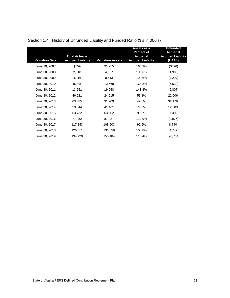|                       |                                                    |                         | Assets as a                                                       | <b>Unfunded</b>                                        |
|-----------------------|----------------------------------------------------|-------------------------|-------------------------------------------------------------------|--------------------------------------------------------|
| <b>Valuation Date</b> | <b>Total Actuarial</b><br><b>Accrued Liability</b> | <b>Valuation Assets</b> | <b>Percent of</b><br><b>Actuarial</b><br><b>Accrued Liability</b> | <b>Actuarial</b><br><b>Accrued Liability</b><br>(UAAL) |
| June 30, 2007         | \$759                                              | \$1,255                 | 165.3%                                                            | (\$496)                                                |
| June 30, 2008         | 2,018                                              | 4,007                   | 198.6%                                                            | (1,989)                                                |
| June 30, 2009         | 4,316                                              | 8,613                   | 199.6%                                                            | (4,297)                                                |
| June 30, 2010         | 8,038                                              | 13,568                  | 168.8%                                                            | (5,530)                                                |
| June 30, 2011         | 13,251                                             | 19,058                  | 143.8%                                                            | (5,807)                                                |
| June 30, 2012         | 46,921                                             | 24,915                  | 53.1%                                                             | 22,006                                                 |
| June 30, 2013         | 63,885                                             | 31,709                  | 49.6%                                                             | 32,176                                                 |
| June 30, 2014         | 53,844                                             | 41,461                  | 77.0%                                                             | 12,383                                                 |
| June 30, 2015         | 63,732                                             | 63,202                  | 99.2%                                                             | 530                                                    |
| June 30, 2016         | 77,052                                             | 87,027                  | 112.9%                                                            | (9, 975)                                               |
| June 30, 2017         | 117,243                                            | 108,503                 | 92.5%                                                             | 8,740                                                  |
| June 30, 2018         | 126,311                                            | 131,058                 | 103.8%                                                            | (4,747)                                                |
| June 30, 2019         | 134,720                                            | 155,484                 | 115.4%                                                            | (20, 764)                                              |

# Section 1.4: History of Unfunded Liability and Funded Ratio (\$'s in 000's)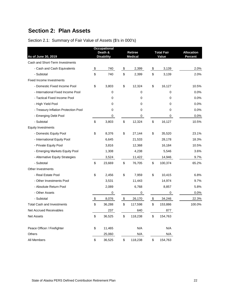# **Section 2: Plan Assets**

# Section 2.1: Summary of Fair Value of Assets (\$'s in 000's)

|                                      | <b>Occupational</b> |                |                   |                   |
|--------------------------------------|---------------------|----------------|-------------------|-------------------|
|                                      | Death &             | <b>Retiree</b> | <b>Total Fair</b> | <b>Allocation</b> |
| As of June 30, 2019                  | <b>Disability</b>   | <b>Medical</b> | Value             | Percent           |
| Cash and Short-Term Investments      |                     |                |                   |                   |
| - Cash and Cash Equivalents          | \$<br>740           | \$<br>2,399    | \$<br>3,139       | 2.0%              |
| - Subtotal                           | \$<br>740           | \$<br>2,399    | \$<br>3,139       | 2.0%              |
| <b>Fixed Income Investments</b>      |                     |                |                   |                   |
| - Domestic Fixed Income Pool         | \$<br>3,803         | \$<br>12,324   | \$<br>16,127      | 10.5%             |
| - International Fixed Income Pool    | 0                   | 0              | 0                 | 0.0%              |
| - Tactical Fixed Income Pool         | 0                   | 0              | 0                 | 0.0%              |
| - High Yield Pool                    | 0                   | 0              | 0                 | 0.0%              |
| - Treasury Inflation Protection Pool | 0                   | 0              | 0                 | 0.0%              |
| - Emerging Debt Pool                 | 0                   | 0              | 0                 | 0.0%              |
| - Subtotal                           | \$<br>3,803         | \$<br>12,324   | \$<br>16,127      | 10.5%             |
| <b>Equity Investments</b>            |                     |                |                   |                   |
| - Domestic Equity Pool               | \$<br>8,376         | \$<br>27,144   | \$<br>35,520      | 23.1%             |
| - International Equity Pool          | 6,645               | 21,533         | 28,178            | 18.3%             |
| - Private Equity Pool                | 3,816               | 12,368         | 16,184            | 10.5%             |
| - Emerging Markets Equity Pool       | 1,308               | 4,238          | 5,546             | 3.6%              |
| - Alternative Equity Strategies      | 3,524               | 11,422         | 14,946            | 9.7%              |
| - Subtotal                           | \$<br>23,669        | \$<br>76,705   | \$<br>100,374     | 65.2%             |
| Other Investments                    |                     |                |                   |                   |
| - Real Estate Pool                   | \$<br>2,456         | \$<br>7,959    | \$<br>10,415      | 6.8%              |
| - Other Investments Pool             | 3,531               | 11,443         | 14,974            | 9.7%              |
| - Absolute Return Pool               | 2,089               | 6,768          | 8,857             | 5.8%              |
| - Other Assets                       | 0                   | 0              | 0                 | 0.0%              |
| - Subtotal                           | \$<br>8,076         | \$<br>26,170   | \$<br>34,246      | 22.3%             |
| <b>Total Cash and Investments</b>    | \$<br>36,288        | \$<br>117,598  | \$<br>153,886     | 100.0%            |
| <b>Net Accrued Receivables</b>       | 237                 | 640            | 877               |                   |
| <b>Net Assets</b>                    | \$<br>36,525        | \$<br>118,238  | \$<br>154,763     |                   |
| Peace Officer / Firefighter          | \$<br>11,465        | N/A            | N/A               |                   |
| Others                               | 25,060              | N/A            | N/A               |                   |
| All Members                          | \$<br>36,525        | \$<br>118,238  | \$<br>154,763     |                   |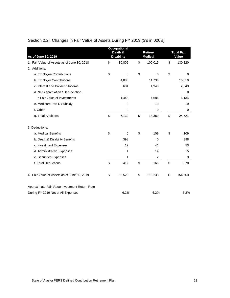|                                               | <b>Occupational</b><br>Death & | <b>Retiree</b> | <b>Total Fair</b> |
|-----------------------------------------------|--------------------------------|----------------|-------------------|
| As of June 30, 2019                           | <b>Disability</b>              | <b>Medical</b> | Value             |
| 1. Fair Value of Assets as of June 30, 2018   | \$<br>30,805                   | \$<br>100,015  | \$<br>130,820     |
| 2. Additions:                                 |                                |                |                   |
| a. Employee Contributions                     | \$<br>$\mathbf 0$              | \$<br>$\Omega$ | \$<br>$\Omega$    |
| b. Employer Contributions                     | 4,083                          | 11,736         | 15,819            |
| c. Interest and Dividend Income               | 601                            | 1,948          | 2,549             |
| d. Net Appreciation / Depreciation            |                                |                | $\Omega$          |
| in Fair Value of Investments                  | 1,448                          | 4,686          | 6,134             |
| e. Medicare Part D Subsidy                    | $\mathbf 0$                    | 19             | 19                |
| f. Other                                      | 0                              | 0              | $\mathbf 0$       |
| g. Total Additions                            | \$<br>6,132                    | \$<br>18,389   | \$<br>24,521      |
| 3. Deductions:                                |                                |                |                   |
| a. Medical Benefits                           | \$<br>$\Omega$                 | \$<br>109      | \$<br>109         |
| b. Death & Disability Benefits                | 398                            | $\Omega$       | 398               |
| c. Investment Expenses                        | 12                             | 41             | 53                |
| d. Administrative Expenses                    | 1                              | 14             | 15                |
| e. Securities Expenses                        | 1                              | $\overline{2}$ | 3                 |
| f. Total Deductions                           | \$<br>412                      | \$<br>166      | \$<br>578         |
| 4. Fair Value of Assets as of June 30, 2019   | \$<br>36,525                   | \$<br>118,238  | \$<br>154,763     |
| Approximate Fair Value Investment Return Rate |                                |                |                   |
| During FY 2019 Net of All Expenses            | 6.2%                           | 6.2%           | 6.2%              |

# Section 2.2: Changes in Fair Value of Assets During FY 2019 (\$'s in 000's)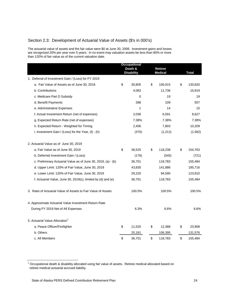## Section 2.3: Development of Actuarial Value of Assets (\$'s in 000's)

The actuarial value of assets and the fair value were \$0 at June 30, 2006. Investment gains and losses are recognized 20% per year over 5 years. In no event may valuation assets be less than 80% or more than 120% of fair value as of the current valuation date.

|                                                               | <b>Occupational</b><br>Death &<br><b>Disability</b> | <b>Retiree</b><br><b>Medical</b> | <b>Total</b>  |
|---------------------------------------------------------------|-----------------------------------------------------|----------------------------------|---------------|
| 1. Deferral of Investment Gain / (Loss) for FY 2019           |                                                     |                                  |               |
| a. Fair Value of Assets as of June 30, 2018                   | \$<br>30,805                                        | \$<br>100,015                    | \$<br>130,820 |
| b. Contributions                                              | 4,083                                               | 11,736                           | 15,819        |
| c. Medicare Part D Subsidy                                    | 0                                                   | 19                               | 19            |
| d. Benefit Payments                                           | 398                                                 | 109                              | 507           |
| e. Administrative Expenses                                    | 1                                                   | 14                               | 15            |
| f. Actual Investment Return (net of expenses)                 | 2,036                                               | 6,591                            | 8,627         |
| g. Expected Return Rate (net of expenses)                     | 7.38%                                               | 7.38%                            | 7.38%         |
| h. Expected Return - Weighted for Timing                      | 2,406                                               | 7,803                            | 10,209        |
| i. Investment Gain / (Loss) for the Year, $(f) - (h)$         | (370)                                               | (1,212)                          | (1,582)       |
| 2. Actuarial Value as of June 30, 2019                        |                                                     |                                  |               |
| a. Fair Value as of June 30, 2019                             | \$<br>36,525                                        | \$<br>118,238                    | \$<br>154,763 |
| b. Deferred Investment Gain / (Loss)                          | (176)                                               | (545)                            | (721)         |
| c. Preliminary Actuarial Value as of June 30, 2019, (a) - (b) | 36,701                                              | 118,783                          | 155,484       |
| d. Upper Limit: 120% of Fair Value, June 30, 2019             | 43,830                                              | 141,886                          | 185,716       |
| e. Lower Limit: 120% of Fair Value, June 30, 2019             | 29,220                                              | 94,590                           | 123,810       |
| f. Actuarial Value, June 30, 2019(c), limited by (d) and (e)  | 36,701                                              | 118,783                          | 155,484       |
| 3. Ratio of Actuarial Value of Assets to Fair Value of Assets | 100.5%                                              | 100.5%                           | 100.5%        |
| 4. Approximate Actuarial Value Investment Return Rate         |                                                     |                                  |               |
| During FY 2019 Net of All Expenses                            | 6.3%                                                | 6.6%                             | 6.6%          |
| 5. Actuarial Value Allocation <sup>1</sup>                    |                                                     |                                  |               |
| a. Peace Officer/Firefighter                                  | \$<br>11,520                                        | \$<br>12,388                     | \$<br>23,908  |
| b. Others                                                     | 25,181                                              | 106,395                          | 131,576       |
| c. All Members                                                | \$<br>36,701                                        | \$<br>118,783                    | \$<br>155,484 |

 $1$  Occupational death & disability allocated using fair value of assets. Retiree medical allocated based on retiree medical actuarial accrued liability.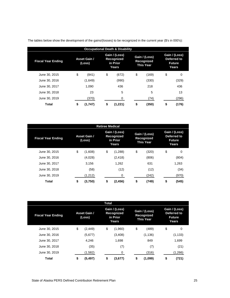| <b>Occupational Death &amp; Disability</b> |                        |         |                                                  |         |    |                                                 |                                                        |       |  |  |  |  |
|--------------------------------------------|------------------------|---------|--------------------------------------------------|---------|----|-------------------------------------------------|--------------------------------------------------------|-------|--|--|--|--|
| <b>Fiscal Year Ending</b>                  | Asset Gain /<br>(Loss) |         | Gain / (Loss)<br>Recognized<br>in Prior<br>Years |         |    | Gain / (Loss)<br>Recognized<br><b>This Year</b> | Gain / (Loss)<br>Deferred to<br><b>Future</b><br>Years |       |  |  |  |  |
| June 30, 2015                              | \$                     | (841)   | \$                                               | (672)   | \$ | (169)                                           | \$                                                     | 0     |  |  |  |  |
| June 30, 2016                              |                        | (1,649) |                                                  | (990)   |    | (330)                                           |                                                        | (329) |  |  |  |  |
| June 30, 2017                              |                        | 1.090   |                                                  | 436     |    | 218                                             |                                                        | 436   |  |  |  |  |
| June 30, 2018                              |                        | 23      |                                                  | 5       |    | 5                                               |                                                        | 13    |  |  |  |  |
| June 30, 2019                              |                        | (370)   |                                                  | 0       |    | (74)                                            |                                                        | (296) |  |  |  |  |
| Total                                      | \$                     | (1,747) | S                                                | (1,221) | S  | (350)                                           | S                                                      | (176) |  |  |  |  |

The tables below show the development of the gains/(losses) to be recognized in the current year (\$'s in 000's):

|                           | <b>Retiree Medical</b>        |         |                                                  |          |                                                 |       |                                                        |       |  |  |  |  |  |  |
|---------------------------|-------------------------------|---------|--------------------------------------------------|----------|-------------------------------------------------|-------|--------------------------------------------------------|-------|--|--|--|--|--|--|
| <b>Fiscal Year Ending</b> | <b>Asset Gain /</b><br>(Loss) |         | Gain / (Loss)<br>Recognized<br>in Prior<br>Years |          | Gain / (Loss)<br>Recognized<br><b>This Year</b> |       | Gain / (Loss)<br>Deferred to<br><b>Future</b><br>Years |       |  |  |  |  |  |  |
| June 30, 2015             | \$                            | (1,608) | \$                                               | (1,288)  | \$                                              | (320) | \$                                                     | 0     |  |  |  |  |  |  |
| June 30, 2016             |                               | (4,028) |                                                  | (2, 418) |                                                 | (806) |                                                        | (804) |  |  |  |  |  |  |
| June 30, 2017             |                               | 3.156   |                                                  | 1,262    |                                                 | 631   |                                                        | 1,263 |  |  |  |  |  |  |
| June 30, 2018             |                               | (58)    |                                                  | (12)     |                                                 | (12)  |                                                        | (34)  |  |  |  |  |  |  |
| June 30, 2019             |                               | (1,212) |                                                  | 0        |                                                 | (242) |                                                        | (970) |  |  |  |  |  |  |
| Total                     | \$                            | (3,750) | \$                                               | (2,456)  | \$                                              | (749) | \$                                                     | (545) |  |  |  |  |  |  |

|                           |                               |          | Total |                                                  |    |                                                 |    |                                                        |
|---------------------------|-------------------------------|----------|-------|--------------------------------------------------|----|-------------------------------------------------|----|--------------------------------------------------------|
| <b>Fiscal Year Ending</b> | <b>Asset Gain /</b><br>(Loss) |          |       | Gain / (Loss)<br>Recognized<br>in Prior<br>Years |    | Gain / (Loss)<br>Recognized<br><b>This Year</b> |    | Gain / (Loss)<br>Deferred to<br><b>Future</b><br>Years |
| June 30, 2015             | \$                            | (2, 449) | \$    | (1,960)                                          | \$ | (489)                                           | \$ | 0                                                      |
| June 30, 2016             |                               | (5,677)  |       | (3, 408)                                         |    | (1, 136)                                        |    | (1, 133)                                               |
| June 30, 2017             |                               | 4.246    |       | 1,698                                            |    | 849                                             |    | 1,699                                                  |
| June 30, 2018             |                               | (35)     |       | (7)                                              |    | (7)                                             |    | (21)                                                   |
| June 30, 2019             |                               | (1,582)  |       | 0                                                |    | (316)                                           |    | (1,266)                                                |
| Total                     | \$                            | (5, 497) | \$    | (3,677)                                          | \$ | (1,099)                                         | \$ | (721)                                                  |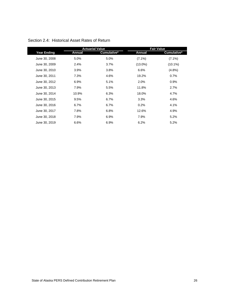|                    |               | <b>Actuarial Value</b> |               | <b>Fair Value</b> |
|--------------------|---------------|------------------------|---------------|-------------------|
| <b>Year Ending</b> | <b>Annual</b> | Cumulative*            | <b>Annual</b> | Cumulative*       |
| June 30, 2008      | 5.0%          | 5.0%                   | $(7.1\%)$     | $(7.1\%)$         |
| June 30, 2009      | 2.4%          | 3.7%                   | $(13.0\%)$    | $(10.1\%)$        |
| June 30, 2010      | 3.9%          | 3.8%                   | 6.6%          | $(4.8\%)$         |
| June 30, 2011      | 7.3%          | 4.6%                   | 19.2%         | 0.7%              |
| June 30, 2012      | 6.9%          | 5.1%                   | 2.0%          | 0.9%              |
| June 30, 2013      | 7.9%          | 5.5%                   | 11.8%         | 2.7%              |
| June 30, 2014      | 10.9%         | 6.3%                   | 18.0%         | 4.7%              |
| June 30, 2015      | 9.5%          | 6.7%                   | 3.3%          | 4.6%              |
| June 30, 2016      | 6.7%          | 6.7%                   | 0.2%          | 4.1%              |
| June 30, 2017      | 7.8%          | 6.8%                   | 12.6%         | 4.9%              |
| June 30, 2018      | 7.9%          | 6.9%                   | 7.9%          | 5.2%              |
| June 30, 2019      | 6.6%          | 6.9%                   | 6.2%          | 5.2%              |

## Section 2.4: Historical Asset Rates of Return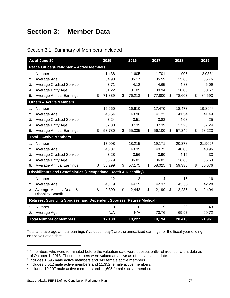# **Section 3: Member Data**

| Section 3.1: Summary of Members Included |  |  |  |
|------------------------------------------|--|--|--|
|------------------------------------------|--|--|--|

|    | As of June 30                                                        | 2015         | 2016         | 2017         | 20181        | 2019               |
|----|----------------------------------------------------------------------|--------------|--------------|--------------|--------------|--------------------|
|    | <b>Peace Officer/Firefighter - Active Members</b>                    |              |              |              |              |                    |
| 1. | Number                                                               | 1,438        | 1,605        | 1,701        | 1,905        | 2,038 <sup>2</sup> |
| 2. | Average Age                                                          | 34.93        | 35.17        | 35.59        | 35.63        | 35.76              |
| 3. | <b>Average Credited Service</b>                                      | 3.71         | 4.12         | 4.65         | 4.83         | 5.09               |
| 4. | Average Entry Age                                                    | 31.22        | 31.05        | 30.94        | 30.80        | 30.67              |
| 5. | <b>Average Annual Earnings</b>                                       | \$<br>71,839 | \$<br>76,213 | \$<br>77,800 | \$<br>78,603 | \$<br>84,593       |
|    | <b>Others - Active Members</b>                                       |              |              |              |              |                    |
| 1. | Number                                                               | 15,660       | 16,610       | 17,470       | 18,473       | 19,8643            |
| 2. | Average Age                                                          | 40.54        | 40.90        | 41.22        | 41.34        | 41.49              |
| 3. | <b>Average Credited Service</b>                                      | 3.24         | 3.51         | 3.83         | 4.08         | 4.25               |
| 4. | Average Entry Age                                                    | 37.30        | 37.39        | 37.39        | 37.26        | 37.24              |
| 5. | <b>Average Annual Earnings</b>                                       | \$<br>53,780 | \$<br>55,335 | \$<br>56,100 | \$<br>57,349 | \$<br>58,223       |
|    | <b>Total - Active Members</b>                                        |              |              |              |              |                    |
| 1. | Number                                                               | 17,098       | 18,215       | 19,171       | 20,378       | 21,9024            |
| 2. | Average Age                                                          | 40.07        | 40.39        | 40.72        | 40.80        | 40.96              |
| 3. | <b>Average Credited Service</b>                                      | 3.28         | 3.56         | 3.90         | 4.15         | 4.33               |
| 4. | Average Entry Age                                                    | 36.79        | 36.83        | 36.82        | 36.65        | 36.63              |
| 5. | <b>Average Annual Earnings</b>                                       | \$<br>55,299 | \$<br>57,175 | \$<br>58,025 | \$<br>59,336 | \$<br>60,676       |
|    | Disabilitants and Beneficiaries (Occupational Death & Disability)    |              |              |              |              |                    |
| 1. | Number                                                               | 12           | 12           | 14           | 15           | 16                 |
| 2. | Average Age                                                          | 43.19        | 44.19        | 42.37        | 43.66        | 42.28              |
| 3. | Average Monthly Death &<br><b>Disability Benefit</b>                 | \$<br>2,399  | \$<br>2,442  | \$<br>2,199  | \$<br>2,285  | \$<br>2,404        |
|    | Retirees, Surviving Spouses, and Dependent Spouses (Retiree Medical) |              |              |              |              |                    |
| 1. | Number                                                               | 0            | $\mathbf 0$  | 9            | 23           | 43                 |
| 2. | Average Age                                                          | N/A          | N/A          | 70.76        | 69.97        | 69.72              |
|    | <b>Total Number of Members</b>                                       | 17,100       | 18,227       | 19,194       | 20,416       | 21,961             |

Total and average annual earnings ("valuation pay") are the annualized earnings for the fiscal year ending on the valuation date.

l

<sup>&</sup>lt;sup>1</sup> 4 members who were terminated before the valuation date were subsequently rehired, per client data as of October 1, 2018. These members were valued as active as of the valuation date.

<sup>2</sup> Includes 1,695 male active members and 343 female active members.

<sup>3</sup> Includes 8,512 male active members and 11,352 female active members.

<sup>4</sup> Includes 10,207 male active members and 11,695 female active members.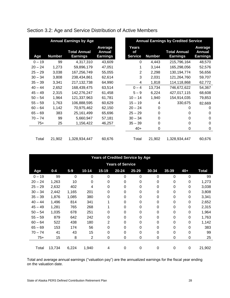|           |               | <b>Annual Earnings by Age</b>          |                                      | <b>Annual Earnings by Credited Service</b> |               |                                        |                                             |  |
|-----------|---------------|----------------------------------------|--------------------------------------|--------------------------------------------|---------------|----------------------------------------|---------------------------------------------|--|
| Age       | <b>Number</b> | <b>Total Annual</b><br><b>Earnings</b> | Average<br>Annual<br><b>Earnings</b> | <b>Years</b><br>оf<br><b>Service</b>       | <b>Number</b> | <b>Total Annual</b><br><b>Earnings</b> | Average<br><b>Annual</b><br><b>Earnings</b> |  |
| $0 - 19$  | 99            | 4,317,310                              | 43,609                               | 0                                          | 4,443         | 215,796,164                            | 48,570                                      |  |
| $20 - 24$ | 1,273         | 59,896,179                             | 47,051                               |                                            | 3,144         | 165,298,056                            | 52,576                                      |  |
| $25 - 29$ | 3,038         | 167,256,749                            | 55,055                               | $\overline{2}$                             | 2,298         | 130,194,774                            | 56,656                                      |  |
| $30 - 34$ | 3,808         | 238,434,861                            | 62,614                               | 3                                          | 2,031         | 121,264,760                            | 59,707                                      |  |
| $35 - 39$ | 3,341         | 217, 132, 738                          | 64,990                               | 4                                          | 1,818         | 114,118,868                            | 62,772                                      |  |
| $40 - 44$ | 2,652         | 168,439,475                            | 63,514                               | $0 - 4$                                    | 13,734        | 746,672,622                            | 54,367                                      |  |
| $45 - 49$ | 2,315         | 142,276,247                            | 61,458                               | $5 - 9$                                    | 6,224         | 427,017,115                            | 68,608                                      |  |
| $50 - 54$ | 1,964         | 121,337,963                            | 61,781                               | $10 - 14$                                  | 1,940         | 154,914,035                            | 79,853                                      |  |
| $55 - 59$ | 1,763         | 106,888,595                            | 60,629                               | $15 - 19$                                  | 4             | 330,675                                | 82,669                                      |  |
| $60 - 64$ | 1,142         | 70,975,462                             | 62,150                               | $20 - 24$                                  | 0             | 0                                      | 0                                           |  |
| $65 - 69$ | 383           | 25,161,499                             | 65,696                               | $25 - 29$                                  | 0             | 0                                      | 0                                           |  |
| $70 - 74$ | 99            | 5,660,947                              | 57,181                               | $30 - 34$                                  | 0             | 0                                      | 0                                           |  |
| $75+$     | 25            | 1,156,422                              | 46,257                               | $35 - 39$                                  | 0             | 0                                      | $\Omega$                                    |  |
|           |               |                                        |                                      | $40+$                                      | 0             | 0                                      | 0                                           |  |
| Total     | 21,902        | 1,328,934,447                          | 60,676                               | Total                                      | 21,902        | 1,328,934,447                          | 60,676                                      |  |

Section 3.2: Age and Service Distribution of Active Members

|           | <b>Years of Credited Service by Age</b> |       |                |             |           |           |           |           |             |              |  |  |  |  |  |
|-----------|-----------------------------------------|-------|----------------|-------------|-----------|-----------|-----------|-----------|-------------|--------------|--|--|--|--|--|
|           | <b>Years of Service</b>                 |       |                |             |           |           |           |           |             |              |  |  |  |  |  |
| Age       | $0 - 4$                                 | $5-9$ | $10 - 14$      | $15 - 19$   | $20 - 24$ | $25 - 29$ | $30 - 34$ | $35 - 39$ | $40+$       | <b>Total</b> |  |  |  |  |  |
| $0 - 19$  | 99                                      | 0     | 0              | 0           | 0         | 0         | 0         | 0         | 0           | 99           |  |  |  |  |  |
| $20 - 24$ | 1,263                                   | 10    | 0              | 0           | 0         | 0         | 0         | 0         | 0           | 1,273        |  |  |  |  |  |
| $25 - 29$ | 2,632                                   | 402   | 4              | 0           | 0         | 0         | 0         | 0         | 0           | 3,038        |  |  |  |  |  |
| $30 - 34$ | 2,442                                   | 1,165 | 201            | $\mathbf 0$ | $\Omega$  | 0         | 0         | 0         | 0           | 3,808        |  |  |  |  |  |
| $35 - 39$ | 1,876                                   | 1,085 | 380            | $\mathbf 0$ | 0         | 0         | 0         | 0         | 0           | 3,341        |  |  |  |  |  |
| $40 - 44$ | 1,496                                   | 814   | 341            |             | 0         | $\Omega$  | 0         | 0         | 0           | 2,652        |  |  |  |  |  |
| $45 - 49$ | 1,281                                   | 765   | 268            |             | 0         | 0         | 0         | 0         | 0           | 2,315        |  |  |  |  |  |
| $50 - 54$ | 1,035                                   | 678   | 251            | 0           | 0         | 0         | 0         | 0         | $\Omega$    | 1,964        |  |  |  |  |  |
| $55 - 59$ | 879                                     | 642   | 242            | 0           | 0         | 0         | 0         | 0         | 0           | 1,763        |  |  |  |  |  |
| $60 - 64$ | 522                                     | 438   | 180            | 2           | 0         | $\Omega$  | 0         | 0         | 0           | 1,142        |  |  |  |  |  |
| $65 - 69$ | 153                                     | 174   | 56             | 0           | 0         | 0         | 0         | 0         | 0           | 383          |  |  |  |  |  |
| $70 - 74$ | 41                                      | 43    | 15             | 0           | 0         | 0         | 0         | 0         | $\Omega$    | 99           |  |  |  |  |  |
| $75+$     | 15                                      | 8     | $\overline{2}$ | $\pmb{0}$   | 0         | 0         | 0         | 0         | $\mathbf 0$ | 25           |  |  |  |  |  |
|           |                                         |       |                |             |           |           |           |           |             |              |  |  |  |  |  |
| Total     | 13,734                                  | 6,224 | 1,940          | 4           | 0         | 0         | 0         | 0         | 0           | 21,902       |  |  |  |  |  |

Total and average annual earnings ("valuation pay") are the annualized earnings for the fiscal year ending on the valuation date.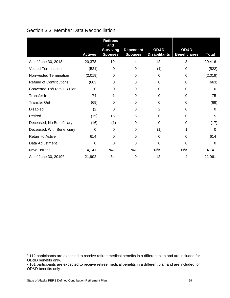# Section 3.3: Member Data Reconciliation

|                                  | <b>Actives</b> | <b>Retirees</b><br>and<br><b>Surviving</b><br><b>Spouses</b> | <b>Dependent</b><br><b>Spouses</b> | OD&D<br><b>Disabilitants</b> | OD&D<br><b>Beneficiaries</b> | <b>Total</b> |
|----------------------------------|----------------|--------------------------------------------------------------|------------------------------------|------------------------------|------------------------------|--------------|
| As of June 30, 2018 <sup>1</sup> | 20,378         | 19                                                           | 4                                  | 12                           | 3                            | 20,416       |
| <b>Vested Termination</b>        | (521)          | 0                                                            | 0                                  | (1)                          | 0                            | (522)        |
| Non-vested Termination           | (2,019)        | 0                                                            | 0                                  | 0                            | 0                            | (2,019)      |
| <b>Refund of Contributions</b>   | (663)          | 0                                                            | 0                                  | 0                            | 0                            | (663)        |
| Converted To/From DB Plan        | 0              | $\Omega$                                                     | $\Omega$                           | $\Omega$                     | 0                            | 0            |
| Transfer In                      | 74             | 1                                                            | 0                                  | $\Omega$                     | 0                            | 75           |
| <b>Transfer Out</b>              | (69)           | 0                                                            | 0                                  | 0                            | 0                            | (69)         |
| <b>Disabled</b>                  | (2)            | 0                                                            | 0                                  | $\overline{2}$               | 0                            | 0            |
| Retired                          | (15)           | 15                                                           | 5                                  | $\Omega$                     | 0                            | 5            |
| Deceased, No Beneficiary         | (16)           | (1)                                                          | 0                                  | 0                            | 0                            | (17)         |
| Deceased, With Beneficiary       | 0              | $\Omega$                                                     | 0                                  | (1)                          |                              | 0            |
| Return to Active                 | 614            | $\Omega$                                                     | 0                                  | 0                            | $\Omega$                     | 614          |
| Data Adjustment                  | 0              | $\Omega$                                                     | $\mathbf 0$                        | $\Omega$                     | 0                            | 0            |
| <b>New Entrant</b>               | 4,141          | N/A                                                          | N/A                                | N/A                          | N/A                          | 4,141        |
| As of June 30, 2019 <sup>2</sup> | 21,902         | 34                                                           | 9                                  | 12                           | 4                            | 21,961       |

l

<sup>1</sup> 112 participants are expected to receive retiree medical benefits in a different plan and are included for OD&D benefits only.

<sup>&</sup>lt;sup>2</sup> 101 participants are expected to receive retiree medical benefits in a different plan and are included for OD&D benefits only.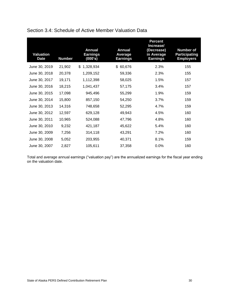| Valuation<br><b>Date</b> | <b>Number</b> | <b>Annual</b><br><b>Earnings</b><br>(000's) | <b>Annual</b><br>Average<br><b>Earnings</b> | <b>Percent</b><br>Increase/<br>(Decrease)<br>in Average<br><b>Earnings</b> | <b>Number of</b><br><b>Participating</b><br><b>Employers</b> |
|--------------------------|---------------|---------------------------------------------|---------------------------------------------|----------------------------------------------------------------------------|--------------------------------------------------------------|
| June 30, 2019            | 21,902        | 1,328,934<br>\$                             | 60,676<br>\$                                | 2.3%                                                                       | 155                                                          |
| June 30, 2018            | 20,378        | 1,209,152                                   | 59,336                                      | 2.3%                                                                       | 155                                                          |
| June 30, 2017            | 19,171        | 1,112,398                                   | 58,025                                      | 1.5%                                                                       | 157                                                          |
| June 30, 2016            | 18,215        | 1,041,437                                   | 57,175                                      | 3.4%                                                                       | 157                                                          |
| June 30, 2015            | 17,098        | 945,496                                     | 55,299                                      | 1.9%                                                                       | 159                                                          |
| June 30, 2014            | 15,800        | 857,150                                     | 54,250                                      | 3.7%                                                                       | 159                                                          |
| June 30, 2013            | 14,316        | 748,658                                     | 52,295                                      | 4.7%                                                                       | 159                                                          |
| June 30, 2012            | 12,597        | 629,128                                     | 49,943                                      | 4.5%                                                                       | 160                                                          |
| June 30, 2011            | 10,965        | 524,088                                     | 47,796                                      | 4.8%                                                                       | 160                                                          |
| June 30, 2010            | 9,232         | 421,187                                     | 45,622                                      | 5.4%                                                                       | 160                                                          |
| June 30, 2009            | 7,256         | 314,118                                     | 43,291                                      | 7.2%                                                                       | 160                                                          |
| June 30, 2008            | 5,052         | 203,955                                     | 40,371                                      | 8.1%                                                                       | 159                                                          |
| June 30, 2007            | 2,827         | 105,611                                     | 37,358                                      | 0.0%                                                                       | 160                                                          |

# Section 3.4: Schedule of Active Member Valuation Data

Total and average annual earnings ("valuation pay") are the annualized earnings for the fiscal year ending on the valuation date.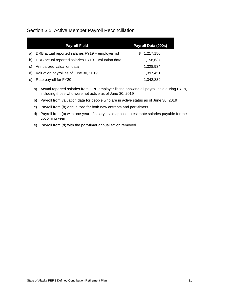# Section 3.5: Active Member Payroll Reconciliation

|    | <b>Payroll Field</b>                               | Payroll Data (000s) |
|----|----------------------------------------------------|---------------------|
| a) | DRB actual reported salaries FY19 - employer list  | 1,217,156<br>S.     |
| b) | DRB actual reported salaries FY19 - valuation data | 1,158,637           |
| C) | Annualized valuation data                          | 1,328,934           |
| d) | Valuation payroll as of June 30, 2019              | 1,397,451           |
| e) | Rate payroll for FY20                              | 1,342,839           |

- a) Actual reported salaries from DRB employer listing showing all payroll paid during FY19, including those who were not active as of June 30, 2019
- b) Payroll from valuation data for people who are in active status as of June 30, 2019
- c) Payroll from (b) annualized for both new entrants and part-timers
- d) Payroll from (c) with one year of salary scale applied to estimate salaries payable for the upcoming year
- e) Payroll from (d) with the part-timer annualization removed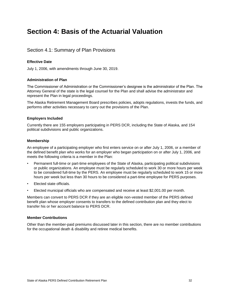# **Section 4: Basis of the Actuarial Valuation**

## Section 4.1: Summary of Plan Provisions

#### **Effective Date**

July 1, 2006, with amendments through June 30, 2019.

#### **Administration of Plan**

The Commissioner of Administration or the Commissioner's designee is the administrator of the Plan. The Attorney General of the state is the legal counsel for the Plan and shall advise the administrator and represent the Plan in legal proceedings.

The Alaska Retirement Management Board prescribes policies, adopts regulations, invests the funds, and performs other activities necessary to carry out the provisions of the Plan.

#### **Employers Included**

Currently there are 155 employers participating in PERS DCR, including the State of Alaska, and 154 political subdivisions and public organizations.

#### **Membership**

An employee of a participating employer who first enters service on or after July 1, 2006, or a member of the defined benefit plan who works for an employer who began participation on or after July 1, 2006, and meets the following criteria is a member in the Plan:

- Permanent full-time or part-time employees of the State of Alaska, participating political subdivisions or public organizations. An employee must be regularly scheduled to work 30 or more hours per week to be considered full-time by the PERS. An employee must be regularly scheduled to work 15 or more hours per week but less than 30 hours to be considered a part-time employee for PERS purposes.
- Elected state officials.
- Elected municipal officials who are compensated and receive at least \$2,001.00 per month.

Members can convert to PERS DCR if they are an eligible non-vested member of the PERS defined benefit plan whose employer consents to transfers to the defined contribution plan and they elect to transfer his or her account balance to PERS DCR.

#### **Member Contributions**

Other than the member-paid premiums discussed later in this section, there are no member contributions for the occupational death & disability and retiree medical benefits.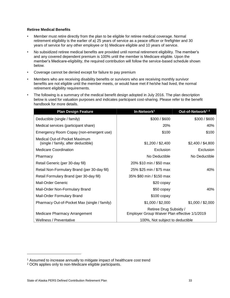#### **Retiree Medical Benefits**

- Member must retire directly from the plan to be eligible for retiree medical coverage. Normal retirement eligibility is the earlier of a) 25 years of service as a peace officer or firefighter and 30 years of service for any other employee or b) Medicare eligible and 10 years of service.
- No subsidized retiree medical benefits are provided until normal retirement eligibility. The member's and any covered dependent premium is 100% until the member is Medicare eligible. Upon the member's Medicare-eligibility, the required contribution will follow the service-based schedule shown below.
- Coverage cannot be denied except for failure to pay premium
- Members who are receiving disability benefits or survivors who are receiving monthly survivor benefits are not eligible until the member meets, or would have met if he/she had lived, the normal retirement eligibility requirements.
- The following is a summary of the medical benefit design adopted in July 2016. The plan description below is used for valuation purposes and indicates participant cost-sharing. Please refer to the benefit handbook for more details.

| <b>Plan Design Feature</b>                                           | In-Network <sup>1</sup>                                                 | Out-of-Network <sup>12</sup> |
|----------------------------------------------------------------------|-------------------------------------------------------------------------|------------------------------|
| Deductible (single / family)                                         | \$300 / \$600                                                           | \$300 / \$600                |
| Medical services (participant share)                                 | <b>20%</b>                                                              | 40%                          |
| Emergency Room Copay (non-emergent use)                              | \$100                                                                   | \$100                        |
| Medical Out-of-Pocket Maximum<br>(single / family, after deductible) | \$1,200 / \$2,400                                                       | \$2,400 / \$4,800            |
| Medicare Coordination                                                | Exclusion                                                               | Exclusion                    |
| Pharmacy                                                             | No Deductible                                                           | No Deductible                |
| Retail Generic (per 30-day fill)                                     | 20% \$10 min / \$50 max                                                 |                              |
| Retail Non-Formulary Brand (per 30-day fill)                         | 25% \$25 min / \$75 max                                                 | 40%                          |
| Retail Formulary Brand (per 30-day fill)                             | 35% \$80 min / \$150 max                                                |                              |
| <b>Mail-Order Generic</b>                                            | \$20 copay                                                              |                              |
| Mail-Order Non-Formulary Brand                                       | \$50 copay                                                              | 40%                          |
| Mail-Order Formulary Brand                                           | $$100$ copay                                                            |                              |
| Pharmacy Out-of-Pocket Max (single / family)                         | \$1,000 / \$2,000                                                       | \$1,000 / \$2,000            |
| Medicare Pharmacy Arrangement                                        | Retiree Drug Subsidy /<br>Employer Group Waiver Plan effective 1/1/2019 |                              |
| Wellness / Preventative                                              | 100%, Not subject to deductible                                         |                              |

l

<sup>&</sup>lt;sup>1</sup> Assumed to increase annually to mitigate impact of healthcare cost trend

<sup>2</sup> OON applies only to non-Medicare eligible participants.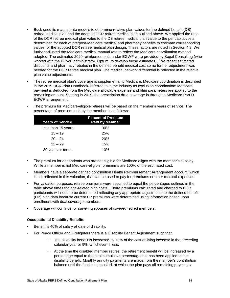- Buck used its manual rate models to determine relative plan values for the defined benefit (DB) retiree medical plan and the adopted DCR retiree medical plan outlined above. We applied the ratio of the DCR retiree medical plan value to the DB retiree medical plan value to the per capita costs determined for each of pre/post-Medicare medical and pharmacy benefits to estimate corresponding values for the adopted DCR retiree medical plan design. These factors are noted in Section 4.3. We further adjusted the Medicare medical manual rate to reflect the Medicare coordination method adopted. The estimated 2020 reimbursements under EGWP were provided by Segal Consulting (who worked with the EGWP administrator, Optum, to develop those estimates). We reflect estimated discounts and pharmacy rebates in the defined benefit medical cost so no further adjustment was needed for the DCR retiree medical plan. The medical network differential is reflected in the relative plan value adjustments.
- The retiree medical plan's coverage is supplemental to Medicare. Medicare coordination is described in the 2019 DCR Plan Handbook, referred to in the industry as exclusion coordination: Medicare payment is deducted from the Medicare allowable expense and plan parameters are applied to the remaining amount. Starting in 2019, the prescription drug coverage is through a Medicare Part D EGWP arrangement.

| <b>Years of Service</b> | <b>Percent of Premium</b><br><b>Paid by Member</b> |
|-------------------------|----------------------------------------------------|
| Less than 15 years      | 30%                                                |
| $15 - 19$               | 25%                                                |
| $20 - 24$               | 20%                                                |
| $25 - 29$               | 15%                                                |
| 30 years or more        | 10%                                                |

• The premium for Medicare-eligible retirees will be based on the member's years of service. The percentage of premium paid by the member is as follows:

- The premium for dependents who are not eligible for Medicare aligns with the member's subsidy. While a member is not Medicare-eligible, premiums are 100% of the estimated cost.
- Members have a separate defined contribution Health Reimbursement Arrangement account, which is not reflected in this valuation, that can be used to pay for premiums or other medical expenses.
- For valuation purposes, retiree premiums were assumed to equal the percentages outlined in the table above times the age-related plan costs. Future premiums calculated and charged to DCR participants will need to be determined reflecting any appropriate adjustments to the defined benefit (DB) plan data because current DB premiums were determined using information based upon enrollment with dual coverage members.
- Coverage will continue for surviving spouses of covered retired members.

#### **Occupational Disability Benefits**

- Benefit is 40% of salary at date of disability.
- For Peace Officer and Firefighters there is a Disability Benefit Adjustment such that:
	- The disability benefit is increased by 75% of the cost of living increase in the preceding calendar year or 9%, whichever is less.
	- − At the time the disabled member retires, the retirement benefit will be increased by a percentage equal to the total cumulative percentage that has been applied to the disability benefit. Monthly annuity payments are made from the member's contribution balance until the fund is exhausted, at which the plan pays all remaining payments.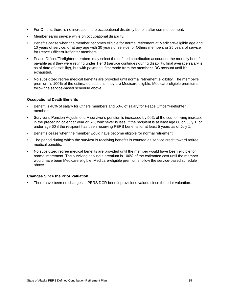- For Others, there is no increase in the occupational disability benefit after commencement.
- Member earns service while on occupational disability.
- Benefits cease when the member becomes eligible for normal retirement at Medicare-eligible age and 10 years of service, or at any age with 30 years of service for Others members or 25 years of service for Peace Officer/Firefighter members.
- Peace Officer/Firefighter members may select the defined contribution account or the monthly benefit payable as if they were retiring under Tier 3 (service continues during disability, final average salary is as of date of disability), but with payments first made from the member's DC account until it's exhausted.
- No subsidized retiree medical benefits are provided until normal retirement eligibility. The member's premium is 100% of the estimated cost until they are Medicare eligible. Medicare-eligible premiums follow the service-based schedule above.

#### **Occupational Death Benefits**

- Benefit is 40% of salary for Others members and 50% of salary for Peace Officer/Firefighter members.
- Survivor's Pension Adjustment: A survivor's pension is increased by 50% of the cost of living increase in the preceding calendar year or 6%, whichever is less, if the recipient is at least age 60 on July 1, or under age 60 if the recipient has been receiving PERS benefits for at least 5 years as of July 1.
- Benefits cease when the member would have become eligible for normal retirement.
- The period during which the survivor is receiving benefits is counted as service credit toward retiree medical benefits.
- No subsidized retiree medical benefits are provided until the member would have been eligible for normal retirement. The surviving spouse's premium is 100% of the estimated cost until the member would have been Medicare eligible. Medicare-eligible premiums follow the service-based schedule above.

#### **Changes Since the Prior Valuation**

• There have been no changes in PERS DCR benefit provisions valued since the prior valuation.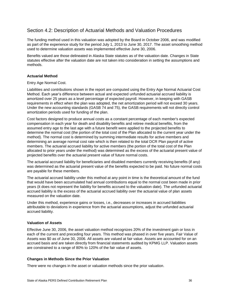# Section 4.2: Description of Actuarial Methods and Valuation Procedures

The funding method used in this valuation was adopted by the Board in October 2006, and was modified as part of the experience study for the period July 1, 2013 to June 30, 2017. The asset smoothing method used to determine valuation assets was implemented effective June 30, 2006.

Benefits valued are those delineated in Alaska State statutes as of the valuation date. Changes in State statutes effective after the valuation date are not taken into consideration in setting the assumptions and methods.

#### **Actuarial Method**

Entry Age Normal Cost.

Liabilities and contributions shown in the report are computed using the Entry Age Normal Actuarial Cost Method. Each year's difference between actual and expected unfunded actuarial accrued liability is amortized over 25 years as a level percentage of expected payroll. However, in keeping with GASB requirements in effect when the plan was adopted, the net amortization period will not exceed 30 years. Under the new accounting standards (GASB 74 and 75), the GASB requirements will not directly control amortization periods used for funding of the plan.

Cost factors designed to produce annual costs as a constant percentage of each member's expected compensation in each year for death and disability benefits and retiree medical benefits, from the assumed entry age to the last age with a future benefit were applied to the projected benefits to determine the normal cost (the portion of the total cost of the Plan allocated to the current year under the method). The normal cost is determined by summing intermediate results for active members and determining an average normal cost rate which is then related to the total DCR Plan payroll of active members. The actuarial accrued liability for active members (the portion of the total cost of the Plan allocated to prior years under the method) was determined as the excess of the actuarial present value of projected benefits over the actuarial present value of future normal costs.

The actuarial accrued liability for beneficiaries and disabled members currently receiving benefits (if any) was determined as the actuarial present value of the benefits expected to be paid. No future normal costs are payable for these members.

The actuarial accrued liability under this method at any point in time is the theoretical amount of the fund that would have been accumulated had annual contributions equal to the normal cost been made in prior years (it does not represent the liability for benefits accrued to the valuation date). The unfunded actuarial accrued liability is the excess of the actuarial accrued liability over the actuarial value of plan assets measured on the valuation date.

Under this method, experience gains or losses, i.e., decreases or increases in accrued liabilities attributable to deviations in experience from the actuarial assumptions, adjust the unfunded actuarial accrued liability.

#### **Valuation of Assets**

Effective June 30, 2006, the asset valuation method recognizes 20% of the investment gain or loss in each of the current and preceding four years. This method was phased in over five years. Fair Value of Assets was \$0 as of June 30, 2006. All assets are valued at fair value. Assets are accounted for on an accrued basis and are taken directly from financial statements audited by KPMG LLP. Valuation assets are constrained to a range of 80% to 120% of the fair value of assets.

#### **Changes in Methods Since the Prior Valuation**

There were no changes in the asset or valuation methods since the prior valuation.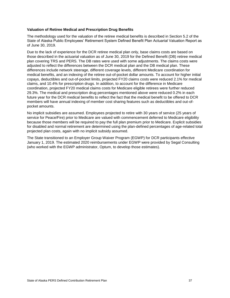#### **Valuation of Retiree Medical and Prescription Drug Benefits**

The methodology used for the valuation of the retiree medical benefits is described in Section 5.2 of the State of Alaska Public Employees' Retirement System Defined Benefit Plan Actuarial Valuation Report as of June 30, 2019.

Due to the lack of experience for the DCR retiree medical plan only, base claims costs are based on those described in the actuarial valuation as of June 30, 2019 for the Defined Benefit (DB) retiree medical plan covering TRS and PERS. The DB rates were used with some adjustments. The claims costs were adjusted to reflect the differences between the DCR medical plan and the DB medical plan. These differences include network steerage, different coverage levels, different Medicare coordination for medical benefits, and an indexing of the retiree out-of-pocket dollar amounts. To account for higher initial copays, deductibles and out-of-pocket limits, projected FY20 claims costs were reduced 2.1% for medical claims, and 10.4% for prescription drugs. In addition, to account for the difference in Medicare coordination, projected FY20 medical claims costs for Medicare eligible retirees were further reduced 29.3%. The medical and prescription drug percentages mentioned above were reduced 0.2% in each future year for the DCR medical benefits to reflect the fact that the medical benefit to be offered to DCR members will have annual indexing of member cost sharing features such as deductibles and out-ofpocket amounts.

No implicit subsidies are assumed. Employees projected to retire with 30 years of service (25 years of service for Peace/Fire) prior to Medicare are valued with commencement deferred to Medicare eligibility because those members will be required to pay the full plan premium prior to Medicare. Explicit subsidies for disabled and normal retirement are determined using the plan-defined percentages of age-related total projected plan costs, again with no implicit subsidy assumed.

The State transitioned to an Employer Group Waiver Program (EGWP) for DCR participants effective January 1, 2019. The estimated 2020 reimbursements under EGWP were provided by Segal Consulting (who worked with the EGWP administrator, Optum, to develop those estimates).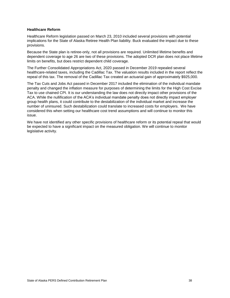#### **Healthcare Reform**

Healthcare Reform legislation passed on March 23, 2010 included several provisions with potential implications for the State of Alaska Retiree Health Plan liability. Buck evaluated the impact due to these provisions.

Because the State plan is retiree-only, not all provisions are required. Unlimited lifetime benefits and dependent coverage to age 26 are two of these provisions. The adopted DCR plan does not place lifetime limits on benefits, but does restrict dependent child coverage.

The Further Consolidated Appropriations Act, 2020 passed in December 2019 repealed several healthcare-related taxes, including the Cadillac Tax. The valuation results included in the report reflect the repeal of this tax. The removal of the Cadillac Tax created an actuarial gain of approximately \$925,000.

The Tax Cuts and Jobs Act passed in December 2017 included the elimination of the individual mandate penalty and changed the inflation measure for purposes of determining the limits for the High Cost Excise Tax to use chained CPI. It is our understanding the law does not directly impact other provisions of the ACA. While the nullification of the ACA's individual mandate penalty does not directly impact employer group health plans, it could contribute to the destabilization of the individual market and increase the number of uninsured. Such destabilization could translate to increased costs for employers. We have considered this when setting our healthcare cost trend assumptions and will continue to monitor this issue.

We have not identified any other specific provisions of healthcare reform or its potential repeal that would be expected to have a significant impact on the measured obligation. We will continue to monitor legislative activity.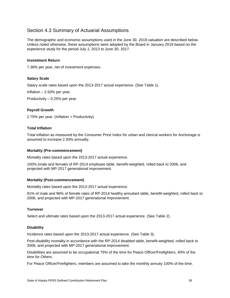# Section 4.3 Summary of Actuarial Assumptions

The demographic and economic assumptions used in the June 30, 2019 valuation are described below. Unless noted otherwise, these assumptions were adopted by the Board in January 2019 based on the experience study for the period July 1, 2013 to June 30, 2017.

#### **Investment Return**

7.38% per year, net of investment expenses.

#### **Salary Scale**

Salary scale rates based upon the 2013-2017 actual experience. (See Table 1).

Inflation – 2.50% per year.

Productivity – 0.25% per year.

#### **Payroll Growth**

2.75% per year. (Inflation + Productivity)

#### **Total Inflation**

Total inflation as measured by the Consumer Price Index for urban and clerical workers for Anchorage is assumed to increase 2.50% annually.

#### **Mortality (Pre-commencement)**

Mortality rates based upon the 2013-2017 actual experience.

100% (male and female) of RP-2014 employee table, benefit-weighted, rolled back to 2006, and projected with MP-2017 generational improvement.

#### **Mortality (Post-commencement)**

Mortality rates based upon the 2013-2017 actual experience.

91% of male and 96% of female rates of RP-2014 healthy annuitant table, benefit-weighted, rolled back to 2006, and projected with MP-2017 generational improvement.

#### **Turnover**

Select and ultimate rates based upon the 2013-2017 actual experience. (See Table 2).

#### **Disability**

Incidence rates based upon the 2013-2017 actual experience. (See Table 3).

Post-disability mortality in accordance with the RP-2014 disabled table, benefit-weighted, rolled back to 2006, and projected with MP-2017 generational improvement.

Disabilities are assumed to be occupational 75% of the time for Peace Officer/Firefighters, 40% of the time for Others.

For Peace Officer/Firefighters, members are assumed to take the monthly annuity 100% of the time.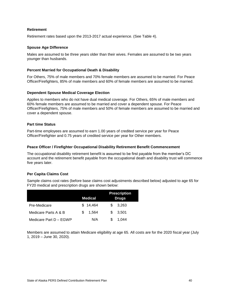#### **Retirement**

Retirement rates based upon the 2013-2017 actual experience. (See Table 4).

#### **Spouse Age Difference**

Males are assumed to be three years older than their wives. Females are assumed to be two years younger than husbands.

#### **Percent Married for Occupational Death & Disability**

For Others, 75% of male members and 70% female members are assumed to be married. For Peace Officer/Firefighters, 85% of male members and 60% of female members are assumed to be married.

#### **Dependent Spouse Medical Coverage Election**

Applies to members who do not have dual medical coverage. For Others, 65% of male members and 60% female members are assumed to be married and cover a dependent spouse. For Peace Officer/Firefighters, 75% of male members and 50% of female members are assumed to be married and cover a dependent spouse.

#### **Part time Status**

Part-time employees are assumed to earn 1.00 years of credited service per year for Peace Officer/Firefighter and 0.75 years of credited service per year for Other members.

#### **Peace Officer / Firefighter Occupational Disability Retirement Benefit Commencement**

The occupational disability retirement benefit is assumed to be first payable from the member's DC account and the retirement benefit payable from the occupational death and disability trust will commence five years later.

#### **Per Capita Claims Cost**

Sample claims cost rates (before base claims cost adjustments described below) adjusted to age 65 for FY20 medical and prescription drugs are shown below:

|                        | <b>Medical</b> | <b>Prescription</b><br><b>Drugs</b> |
|------------------------|----------------|-------------------------------------|
| Pre-Medicare           | \$14,464       | 3.263<br>SS.                        |
| Medicare Parts A & B   | 1.564<br>\$.   | 3.501<br>S.                         |
| Medicare Part D - EGWP | N/A            | S<br>1.044                          |

Members are assumed to attain Medicare eligibility at age 65. All costs are for the 2020 fiscal year (July 1, 2019 – June 30, 2020).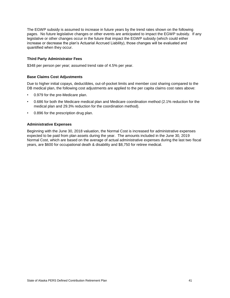The EGWP subsidy is assumed to increase in future years by the trend rates shown on the following pages. No future legislative changes or other events are anticipated to impact the EGWP subsidy. If any legislative or other changes occur in the future that impact the EGWP subsidy (which could either increase or decrease the plan's Actuarial Accrued Liability), those changes will be evaluated and quantified when they occur.

#### **Third Party Administrator Fees**

\$348 per person per year; assumed trend rate of 4.5% per year.

#### **Base Claims Cost Adjustments**

Due to higher initial copays, deductibles, out-of-pocket limits and member cost sharing compared to the DB medical plan, the following cost adjustments are applied to the per capita claims cost rates above:

- 0.979 for the pre-Medicare plan.
- 0.686 for both the Medicare medical plan and Medicare coordination method (2.1% reduction for the medical plan and 29.3% reduction for the coordination method).
- 0.896 for the prescription drug plan.

#### **Administrative Expenses**

Beginning with the June 30, 2018 valuation, the Normal Cost is increased for administrative expenses expected to be paid from plan assets during the year. The amounts included in the June 30, 2019 Normal Cost, which are based on the average of actual administrative expenses during the last two fiscal years, are \$600 for occupational death & disability and \$8,750 for retiree medical.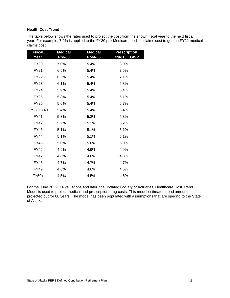#### **Health Cost Trend**

The table below shows the rates used to project the cost from the shown fiscal year to the next fiscal year. For example, 7.0% is applied to the FY20 pre-Medicare medical claims cost to get the FY21 medical claims cost.

| <b>Fiscal</b><br>Year | <b>Medical</b><br><b>Pre-65</b> | <b>Medical</b><br>Post-65 | <b>Prescription</b><br><b>Drugs / EGWP</b> |
|-----------------------|---------------------------------|---------------------------|--------------------------------------------|
| <b>FY20</b>           | 7.0%                            | 5.4%                      | 8.0%                                       |
| <b>FY21</b>           | 6.5%                            | 5.4%                      | 7.5%                                       |
| <b>FY22</b>           | 6.3%                            | 5.4%                      | 7.1%                                       |
| <b>FY23</b>           | 6.1%                            | 5.4%                      | 6.8%                                       |
| <b>FY24</b>           | 5.9%                            | 5.4%                      | 6.4%                                       |
| <b>FY25</b>           | 5.8%                            | 5.4%                      | 6.1%                                       |
| FY26                  | 5.6%                            | 5.4%                      | 5.7%                                       |
| FY27-FY40             | 5.4%                            | 5.4%                      | 5.4%                                       |
| <b>FY41</b>           | 5.3%                            | 5.3%                      | 5.3%                                       |
| FY42                  | 5.2%                            | 5.2%                      | 5.2%                                       |
| FY43                  | 5.1%                            | 5.1%                      | 5.1%                                       |
| FY44                  | 5.1%                            | 5.1%                      | 5.1%                                       |
| <b>FY45</b>           | 5.0%                            | 5.0%                      | 5.0%                                       |
| <b>FY46</b>           | 4.9%                            | 4.9%                      | 4.9%                                       |
| FY47                  | 4.8%                            | 4.8%                      | 4.8%                                       |
| <b>FY48</b>           | 4.7%                            | 4.7%                      | 4.7%                                       |
| <b>FY49</b>           | 4.6%                            | 4.6%                      | 4.6%                                       |
| FY50+                 | 4.5%                            | 4.5%                      | 4.5%                                       |

For the June 30, 2014 valuations and later, the updated Society of Actuaries' Healthcare Cost Trend Model is used to project medical and prescription drug costs. This model estimates trend amounts projected out for 80 years. The model has been populated with assumptions that are specific to the State of Alaska.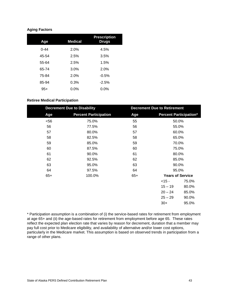#### **Aging Factors**

| Age      | <b>Medical</b> | <b>Prescription</b><br><b>Drugs</b> |
|----------|----------------|-------------------------------------|
| $0 - 44$ | 2.0%           | 4.5%                                |
| 45-54    | 2.5%           | 3.5%                                |
| 55-64    | 2.5%           | 1.5%                                |
| 65-74    | 3.0%           | 2.0%                                |
| 75-84    | 2.0%           | $-0.5%$                             |
| 85-94    | 0.3%           | $-2.5%$                             |
| $95+$    | $0.0\%$        | $0.0\%$                             |

#### **Retiree Medical Participation**

| <b>Decrement Due to Disability</b> |                              |       | <b>Decrement Due to Retirement</b> |                         |
|------------------------------------|------------------------------|-------|------------------------------------|-------------------------|
| Age                                | <b>Percent Participation</b> | Age   | <b>Percent Participation*</b>      |                         |
| $56$                               | 75.0%                        | 55    | 50.0%                              |                         |
| 56                                 | 77.5%                        | 56    | 55.0%                              |                         |
| 57                                 | 80.0%                        | 57    | 60.0%                              |                         |
| 58                                 | 82.5%                        | 58    | 65.0%                              |                         |
| 59                                 | 85.0%                        | 59    |                                    | 70.0%                   |
| 60                                 | 87.5%                        | 60    |                                    | 75.0%                   |
| 61                                 | 90.0%                        | 61    | 80.0%                              |                         |
| 62                                 | 92.5%                        | 62    | 85.0%                              |                         |
| 63                                 | 95.0%                        | 63    | 90.0%                              |                         |
| 64                                 | 97.5%                        | 64    |                                    | 95.0%                   |
| $65+$                              | 100.0%                       | $65+$ |                                    | <b>Years of Service</b> |
|                                    |                              |       | $<15 -$                            | 75.0%                   |
|                                    |                              |       | $15 - 19$                          | 80.0%                   |
|                                    |                              |       | $20 - 24$                          | 85.0%                   |
|                                    |                              |       | $25 - 29$                          | 90.0%                   |
|                                    |                              |       | $30+$                              | 95.0%                   |
|                                    |                              |       |                                    |                         |

\* Participation assumption is a combination of (i) the service-based rates for retirement from employment at age 65+ and (ii) the age-based rates for retirement from employment before age 65. These rates reflect the expected plan election rate that varies by reason for decrement, duration that a member may pay full cost prior to Medicare eligibility, and availability of alternative and/or lower cost options, particularly in the Medicare market. This assumption is based on observed trends in participation from a range of other plans.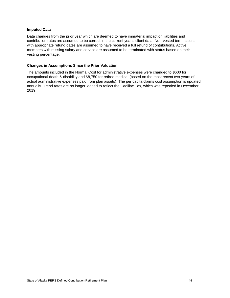#### **Imputed Data**

Data changes from the prior year which are deemed to have immaterial impact on liabilities and contribution rates are assumed to be correct in the current year's client data. Non-vested terminations with appropriate refund dates are assumed to have received a full refund of contributions. Active members with missing salary and service are assumed to be terminated with status based on their vesting percentage.

#### **Changes in Assumptions Since the Prior Valuation**

The amounts included in the Normal Cost for administrative expenses were changed to \$600 for occupational death & disability and \$8,750 for retiree medical (based on the most recent two years of actual administrative expenses paid from plan assets). The per capita claims cost assumption is updated annually. Trend rates are no longer loaded to reflect the Cadillac Tax, which was repealed in December 2019.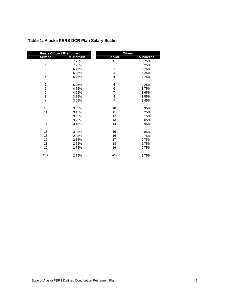| Peace Officer / Firefighter |            | <b>Others</b>  |            |  |
|-----------------------------|------------|----------------|------------|--|
| <b>Service</b>              | % Increase | <b>Service</b> | % Increase |  |
| 0                           | 7.75%      | 0              | 6.75%      |  |
| 1                           | 7.25%      | 1              | 6.25%      |  |
| $\boldsymbol{2}$            | 6.75%      | $\overline{c}$ | 5.75%      |  |
| 3                           | 6.25%      | 3              | 5.25%      |  |
| $\overline{4}$              | 5.75%      | 4              | 4.75%      |  |
| 5                           | 5.25%      | 5              | 4.25%      |  |
| 6                           | 4.75%      | 6              | 3.75%      |  |
| $\overline{7}$              | 4.25%      | $\overline{7}$ | 3.65%      |  |
| 8                           | 3.75%      | 8              | 3.55%      |  |
| 9                           | 3.65%      | 9              | 3.45%      |  |
| 10                          | 3.55%      | 10             | 3.35%      |  |
| 11                          | 3.45%      | 11             | 3.25%      |  |
| 12                          | 3.35%      | 12             | 3.15%      |  |
| 13                          | 3.25%      | 13             | 3.05%      |  |
| 14                          | 3.15%      | 14             | 2.95%      |  |
| 15                          | 3.05%      | 15             | 2.85%      |  |
| 16                          | 2.95%      | 16             | 2.75%      |  |
| 17                          | 2.85%      | 17             | 2.75%      |  |
| 18                          | 2.75%      | 18             | 2.75%      |  |
| 19                          | 2.75%      | 19             | 2.75%      |  |
| $20+$                       | 2.75%      | $20+$          | 2.75%      |  |

# **Table 1: Alaska PERS DCR Plan Salary Scale**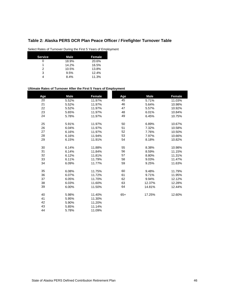# **Table 2: Alaska PERS DCR Plan Peace Officer / Firefighter Turnover Table**

Select Rates of Turnover During the First 5 Years of Employment

| <b>Service</b> | Male  | Female |
|----------------|-------|--------|
|                | 18.9% | 20.6%  |
|                | 14.2% | 16.5%  |
| 2              | 10.5% | 13.8%  |
| 3              | 9.5%  | 12.4%  |
|                | 8.4%  | 11.3%  |

#### **Ultimate Rates of Turnover After the First 5 Years of Employment**

| <b>Male</b> | Female | Age    | <b>Male</b>       | <b>Female</b> |
|-------------|--------|--------|-------------------|---------------|
| 5.52%       | 11.97% |        | 5.71%             | 11.03%        |
| 5.52%       | 11.97% |        | 5.64%             | 10.98%        |
| 5.52%       | 11.97% | 47     | 5.57%             | 10.92%        |
| 5.65%       | 11.97% | 48     | 6.01%             | 10.84%        |
| 5.78%       | 11.97% | 49     | 6.45%             | 10.75%        |
|             |        |        |                   |               |
| 5.91%       | 11.97% | 50     | 6.89%             | 10.67%        |
| 6.04%       | 11.97% | 51     | 7.32%             | 10.58%        |
| 6.16%       | 11.97% | 52     | 7.76%             | 10.50%        |
| 6.16%       | 11.94% | 53     | 7.97%             | 10.66%        |
| 6.15%       | 11.91% | 54     | 8.18%             | 10.82%        |
|             |        |        |                   |               |
| 6.14%       | 11.88% | 55     | 8.38%             | 10.98%        |
| 6.14%       | 11.84% | 56     | 8.59%             | 11.15%        |
| 6.12%       | 11.81% | 57     | 8.80%             | 11.31%        |
| 6.11%       | 11.79% | 58     | 9.03%             | 11.47%        |
| 6.09%       | 11.77% | 59     | 9.25%             | 11.63%        |
|             |        |        |                   |               |
| 6.08%       | 11.75% | 60     | 9.48%             | 11.79%        |
| 6.07%       | 11.72% | 61     | 9.71%             | 11.95%        |
| 6.05%       | 11.70% | 62     | 9.94%             | 12.12%        |
| 6.03%       | 11.60% | 63     | 12.37%            | 12.28%        |
| 6.00%       | 11.50% | 64     | 14.81%            | 12.44%        |
|             |        |        |                   |               |
| 5.98%       |        |        |                   | 12.60%        |
| 5.95%       | 11.30% |        |                   |               |
| 5.90%       | 11.20% |        |                   |               |
| 5.85%       | 11.14% |        |                   |               |
| 5.78%       | 11.09% |        |                   |               |
|             |        | 11.40% | 45<br>46<br>$65+$ | 17.25%        |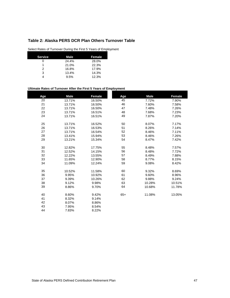## **Table 2: Alaska PERS DCR Plan Others Turnover Table**

Select Rates of Turnover During the First 5 Years of Employment

| <b>Service</b> | Male  | Female |
|----------------|-------|--------|
|                | 24.4% | 28.0%  |
|                | 21.0% | 22.3%  |
| 2              | 16.8% | 17.9%  |
| 3              | 13.4% | 14.3%  |
|                | 9.5%  | 12.3%  |

#### **Ultimate Rates of Turnover After the First 5 Years of Employment**

| Age | <b>Male</b> | <b>Female</b> | Age   | <b>Male</b> | <b>Female</b> |
|-----|-------------|---------------|-------|-------------|---------------|
| 20  | 13.71%      | 16.50%        | 45    | 7.72%       | 7.90%         |
| 21  | 13.71%      | 16.50%        | 46    | 7.60%       | 7.58%         |
| 22  | 13.71%      | 16.50%        | 47    | 7.48%       | 7.26%         |
| 23  | 13.71%      | 16.51%        | 48    | 7.68%       | 7.23%         |
| 24  | 13.71%      | 16.51%        | 49    | 7.87%       | 7.20%         |
| 25  | 13.71%      | 16.52%        | 50    | 8.07%       | 7.17%         |
| 26  | 13.71%      | 16.53%        | 51    | 8.26%       | 7.14%         |
| 27  | 13.71%      | 16.54%        | 52    | 8.46%       | 7.11%         |
| 28  | 13.41%      | 15.94%        | 53    | 8.46%       | 7.26%         |
| 29  | 13.21%      | 15.34%        | 54    | 8.47%       | 7.42%         |
| 30  | 12.82%      | 17.75%        | 55    | 8.48%       | 7.57%         |
| 31  | 12.52%      | 14.15%        | 56    | 8.48%       | 7.72%         |
| 32  | 12.22%      | 13.55%        | 57    | 8.49%       | 7.88%         |
| 33  | 11.65%      | 12.90%        | 58    | 8.77%       | 8.15%         |
| 34  | 11.09%      | 12.24%        | 59    | 9.08%       | 8.42%         |
| 35  | 10.52%      | 11.58%        | 60    | 9.32%       | 8.69%         |
| 36  | 9.95%       | 10.92%        | 61    | 9.60%       | 8.96%         |
| 37  | 9.39%       | 10.26%        | 62    | 9.88%       | 9.24%         |
| 38  | 9.12%       | 9.98%         | 63    | 10.28%      | 10.51%        |
| 39  | 8.86%       | 9.70%         | 64    | 10.68%      | 11.78%        |
| 40  | 8.60%       | 9.42%         | $65+$ | 11.08%      | 13.05%        |
| 41  | 8.32%       | 9.14%         |       |             |               |
| 42  | 8.07%       | 8.86%         |       |             |               |
| 43  | 7.95%       | 8.54%         |       |             |               |
| 44  | 7.83%       | 8.22%         |       |             |               |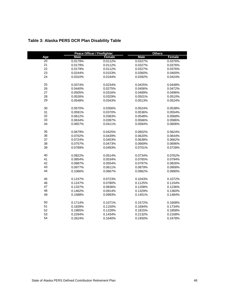|     |             | <b>Peace Officer / Firefighter</b> | <b>Others</b> |         |
|-----|-------------|------------------------------------|---------------|---------|
| Age | <b>Male</b> | Female                             | <b>Male</b>   | Female  |
| 20  | 0.0179%     | 0.0112%                            | 0.0327%       | 0.0376% |
| 21  | 0.0179%     | 0.0112%                            | 0.0327%       | 0.0376% |
| 22  | 0.0179%     | 0.0112%                            | 0.0327%       | 0.0376% |
| 23  | 0.0244%     | 0.0153%                            | 0.0360%       | 0.0400% |
| 24  | 0.0310%     | 0.0194%                            | 0.0392%       | 0.0424% |
| 25  | 0.0374%     | 0.0234%                            | 0.0425%       | 0.0448% |
| 26  | 0.0440%     | 0.0275%                            | 0.0456%       | 0.0472% |
| 27  | 0.0505%     | 0.0316%                            | 0.0489%       | 0.0496% |
| 28  | 0.0526%     | 0.0329%                            | 0.0501%       | 0.0510% |
| 29  | 0.0548%     | 0.0343%                            | 0.0513%       | 0.0524% |
| 30  | 0.0570%     | 0.0356%                            | 0.0524%       | 0.0538% |
| 31  | 0.0591%     | 0.0370%                            | 0.0536%       | 0.0554% |
| 32  | 0.0612%     | 0.0383%                            | 0.0548%       | 0.0568% |
| 33  | 0.0634%     | 0.0397%                            | 0.0566%       | 0.0586% |
| 34  | 0.0657%     | 0.0411%                            | 0.0584%       | 0.0606% |
| 35  | 0.0679%     | 0.0425%                            | 0.0602%       | 0.0624% |
| 36  | 0.0702%     | 0.0439%                            | 0.0620%       | 0.0644% |
| 37  | 0.0724%     | 0.0453%                            | 0.0638%       | 0.0662% |
| 38  | 0.0757%     | 0.0473%                            | 0.0669%       | 0.0696% |
| 39  | 0.0789%     | 0.0493%                            | 0.0701%       | 0.0728% |
| 40  | 0.0822%     | 0.0514%                            | 0.0734%       | 0.0762% |
| 41  | 0.0854%     | 0.0534%                            | 0.0765%       | 0.0794% |
| 42  | 0.0887%     | 0.0554%                            | 0.0797%       | 0.0826% |
| 43  | 0.0977%     | 0.0611%                            | 0.0879%       | 0.0908% |
| 44  | 0.1066%     | 0.0667%                            | 0.0962%       | 0.0990% |
| 45  | 0.1157%     | 0.0723%                            | 0.1043%       | 0.1072% |
| 46  | 0.1247%     | 0.0780%                            | 0.1125%       | 0.1154% |
| 47  | 0.1337%     | 0.0836%                            | 0.1208%       | 0.1236% |
| 48  | 0.1462%     | 0.0914%                            | 0.1329%       | 0.1360% |
| 49  | 0.1588%     | 0.0993%                            | 0.1451%       | 0.1484% |
| 50  | 0.1714%     | 0.1071%                            | 0.1572%       | 0.1608% |
| 51  | 0.1839%     | 0.1150%                            | 0.1694%       | 0.1734% |
| 52  | 0.1965%     | 0.1228%                            | 0.1815%       | 0.1858% |
| 53  | 0.2294%     | 0.1434%                            | 0.2132%       | 0.2168% |
| 54  | 0.2624%     | 0.1640%                            | 0.2450%       | 0.2478% |

# **Table 3: Alaska PERS DCR Plan Disability Table**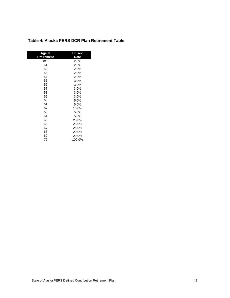| Age at     | Unisex |  |  |
|------------|--------|--|--|
| Retirement | Rate   |  |  |
| <=50       | 2.0%   |  |  |
| 51         | 2.0%   |  |  |
| 52         | 2.0%   |  |  |
| 53         | 2.0%   |  |  |
| 54         | 2.0%   |  |  |
| 55         | 3.0%   |  |  |
| 56         | 3.0%   |  |  |
| 57         | 3.0%   |  |  |
| 58         | 3.0%   |  |  |
| 59         | 3.0%   |  |  |
| 60         | 5.0%   |  |  |
| 61         | 5.0%   |  |  |
| 62         | 10.0%  |  |  |
| 63         | 5.0%   |  |  |
| 64         | 5.0%   |  |  |
| 65         | 25.0%  |  |  |
| 66         | 25.0%  |  |  |
| 67         | 25.0%  |  |  |
| 68         | 20.0%  |  |  |
| 69         | 20.0%  |  |  |
| 70         | 100.0% |  |  |

## **Table 4: Alaska PERS DCR Plan Retirement Table**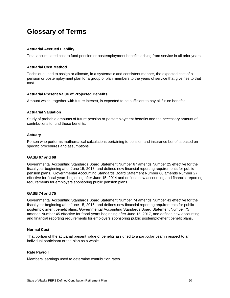# **Glossary of Terms**

#### **Actuarial Accrued Liability**

Total accumulated cost to fund pension or postemployment benefits arising from service in all prior years.

#### **Actuarial Cost Method**

Technique used to assign or allocate, in a systematic and consistent manner, the expected cost of a pension or postemployment plan for a group of plan members to the years of service that give rise to that cost.

#### **Actuarial Present Value of Projected Benefits**

Amount which, together with future interest, is expected to be sufficient to pay all future benefits.

#### **Actuarial Valuation**

Study of probable amounts of future pension or postemployment benefits and the necessary amount of contributions to fund those benefits.

#### **Actuary**

Person who performs mathematical calculations pertaining to pension and insurance benefits based on specific procedures and assumptions.

#### **GASB 67 and 68**

Governmental Accounting Standards Board Statement Number 67 amends Number 25 effective for the fiscal year beginning after June 15, 2013, and defines new financial reporting requirements for public pension plans. Governmental Accounting Standards Board Statement Number 68 amends Number 27 effective for fiscal years beginning after June 15, 2014 and defines new accounting and financial reporting requirements for employers sponsoring public pension plans.

#### **GASB 74 and 75**

Governmental Accounting Standards Board Statement Number 74 amends Number 43 effective for the fiscal year beginning after June 15, 2016, and defines new financial reporting requirements for public postemployment benefit plans. Governmental Accounting Standards Board Statement Number 75 amends Number 45 effective for fiscal years beginning after June 15, 2017, and defines new accounting and financial reporting requirements for employers sponsoring public postemployment benefit plans.

#### **Normal Cost**

That portion of the actuarial present value of benefits assigned to a particular year in respect to an individual participant or the plan as a whole.

#### **Rate Payroll**

Members' earnings used to determine contribution rates.